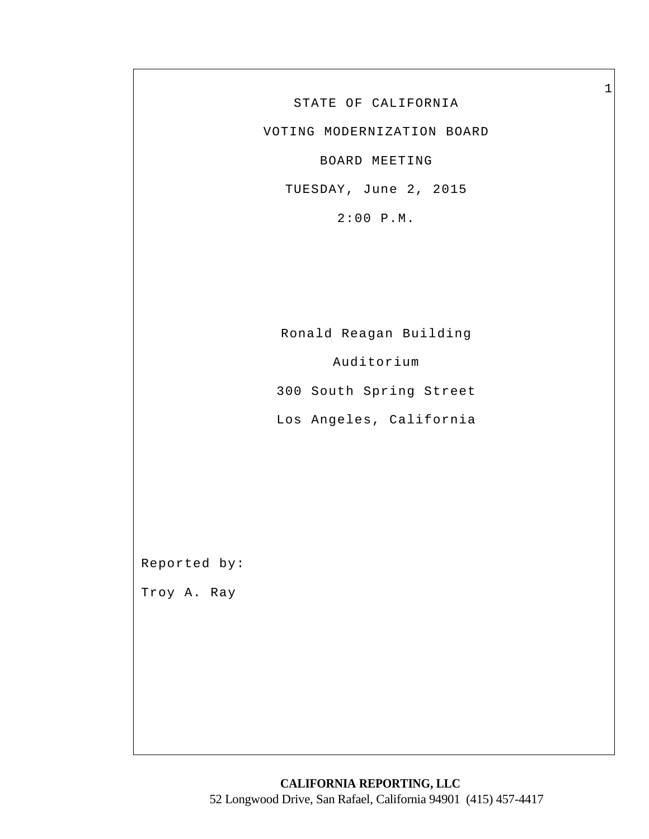|              | STATE OF CALIFORNIA        |  |
|--------------|----------------------------|--|
|              | VOTING MODERNIZATION BOARD |  |
|              | BOARD MEETING              |  |
|              | TUESDAY, June 2, 2015      |  |
|              | 2:00 P.M.                  |  |
|              |                            |  |
|              |                            |  |
|              |                            |  |
|              | Ronald Reagan Building     |  |
|              | Auditorium                 |  |
|              | 300 South Spring Street    |  |
|              | Los Angeles, California    |  |
|              |                            |  |
|              |                            |  |
|              |                            |  |
|              |                            |  |
| Reported by: |                            |  |
| Troy A. Ray  |                            |  |
|              |                            |  |
|              |                            |  |
|              |                            |  |
|              |                            |  |
|              |                            |  |
|              |                            |  |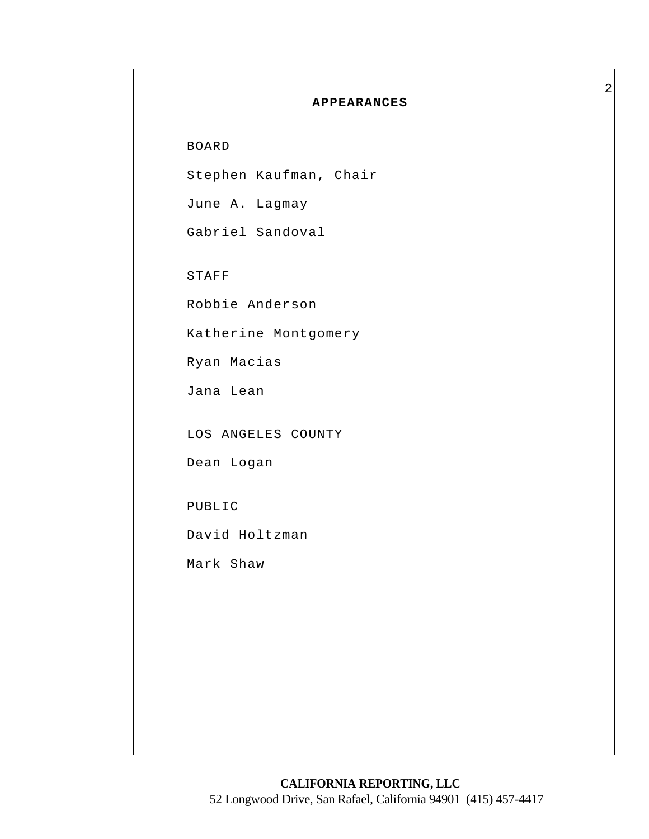#### **APPEARANCES**

BOARD

Stephen Kaufman, Chair

June A. Lagmay

Gabriel Sandoval

STAFF

Robbie Anderson

Katherine Montgomery

Ryan Macias

Jana Lean

LOS ANGELES COUNTY

Dean Logan

PUBLIC

David Holtzman

Mark Shaw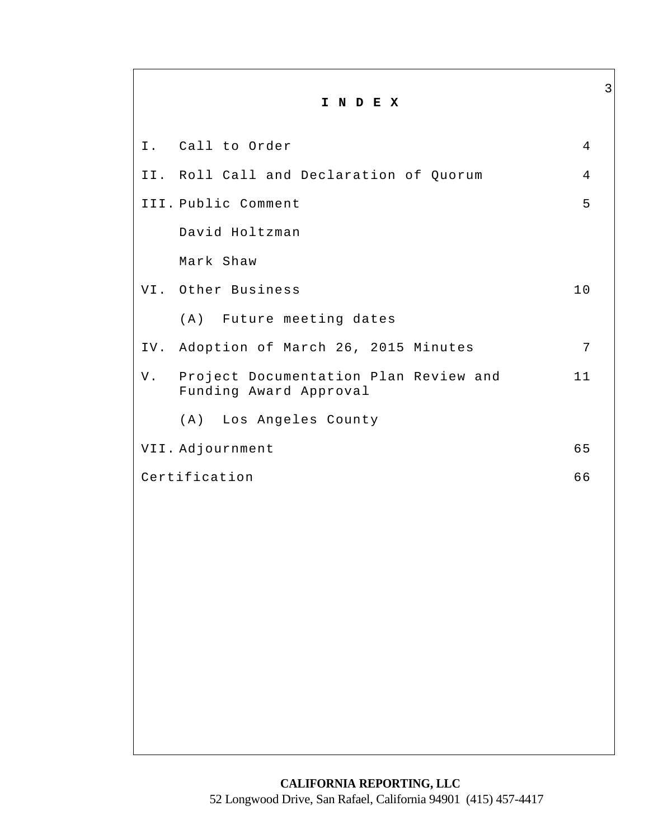**I N D E X** I. Call to Order 4 II. Roll Call and Declaration of Quorum 4 III. Public Comment 5 David Holtzman Mark Shaw VI. Other Business 10 (A) Future meeting dates IV. Adoption of March 26, 2015 Minutes 7 V. Project Documentation Plan Review and 11 Funding Award Approval (A) Los Angeles County VII. Adjournment 65 Certification 66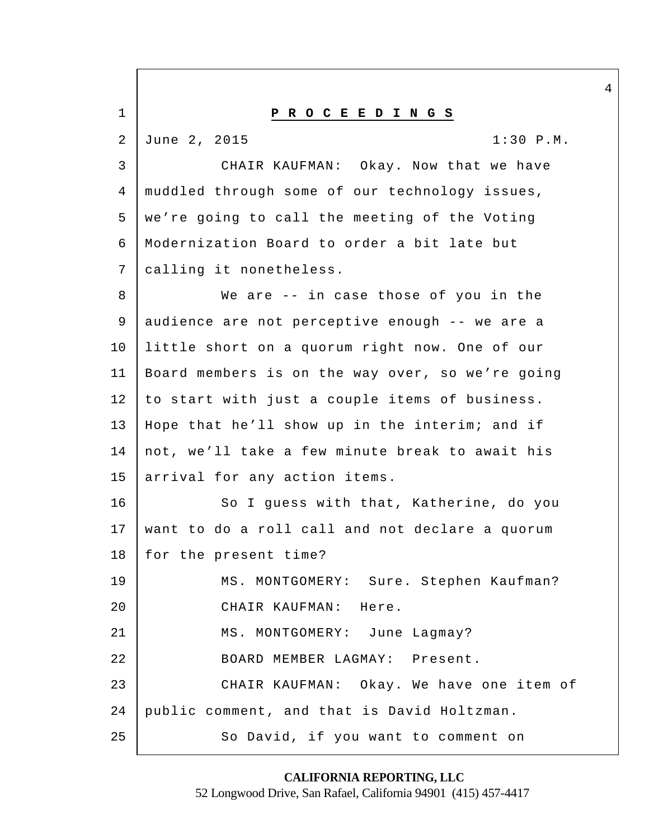**P R O C E E D I N G S** June 2, 2015 1:30 P.M. CHAIR KAUFMAN: Okay. Now that we have 4 muddled through some of our technology issues, we're going to call the meeting of the Voting Modernization Board to order a bit late but calling it nonetheless. 8 We are -- in case those of you in the audience are not perceptive enough -- we are a little short on a quorum right now. One of our Board members is on the way over, so we're going to start with just a couple items of business. Hope that he'll show up in the interim; and if not, we'll take a few minute break to await his 15 | arrival for any action items. 16 So I guess with that, Katherine, do you want to do a roll call and not declare a quorum 18 for the present time? MS. MONTGOMERY: Sure. Stephen Kaufman? CHAIR KAUFMAN: Here. 21 | MS. MONTGOMERY: June Lagmay? 22 BOARD MEMBER LAGMAY: Present. CHAIR KAUFMAN: Okay. We have one item of public comment, and that is David Holtzman. 25 So David, if you want to comment on

**CALIFORNIA REPORTING, LLC**

Longwood Drive, San Rafael, California 94901 (415) 457-4417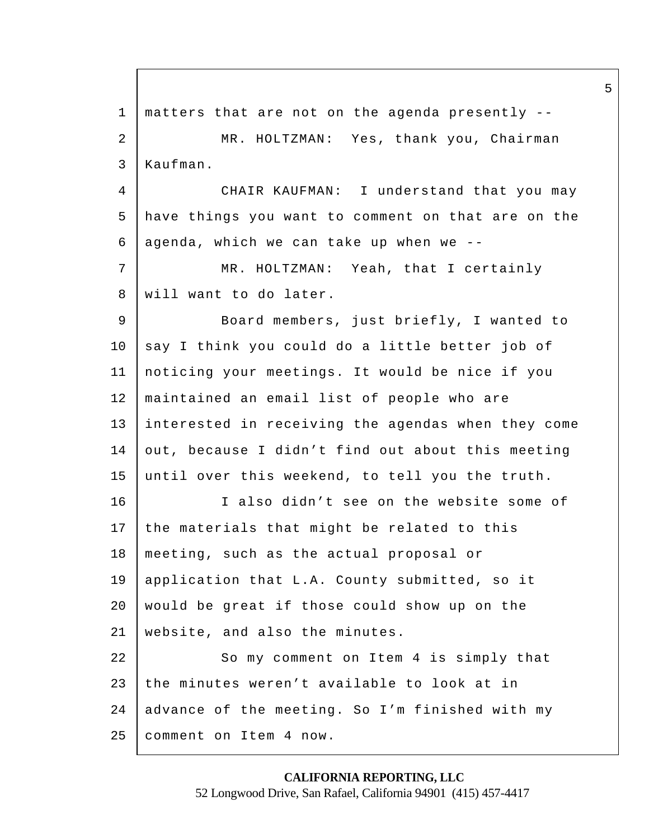matters that are not on the agenda presently -- MR. HOLTZMAN: Yes, thank you, Chairman Kaufman. CHAIR KAUFMAN: I understand that you may have things you want to comment on that are on the 6 agenda, which we can take up when we  $-$ -7 MR. HOLTZMAN: Yeah, that I certainly will want to do later. Board members, just briefly, I wanted to say I think you could do a little better job of noticing your meetings. It would be nice if you 12 | maintained an email list of people who are interested in receiving the agendas when they come 14 out, because I didn't find out about this meeting until over this weekend, to tell you the truth. I also didn't see on the website some of the materials that might be related to this meeting, such as the actual proposal or application that L.A. County submitted, so it would be great if those could show up on the 21 | website, and also the minutes. 22 So my comment on Item 4 is simply that the minutes weren't available to look at in 24 advance of the meeting. So I'm finished with my comment on Item 4 now.

> **CALIFORNIA REPORTING, LLC** Longwood Drive, San Rafael, California 94901 (415) 457-4417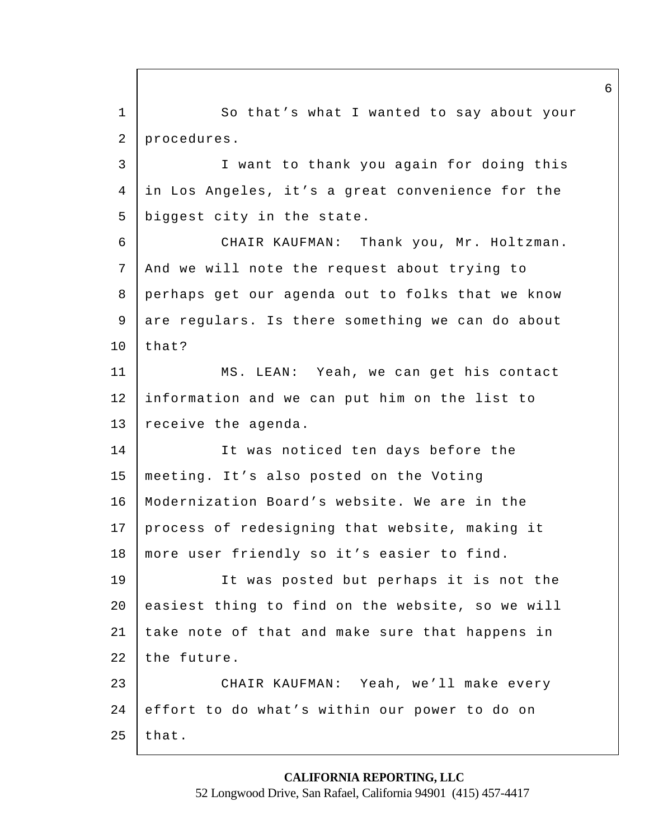1 | So that's what I wanted to say about your procedures. I want to thank you again for doing this in Los Angeles, it's a great convenience for the 5 biggest city in the state. CHAIR KAUFMAN: Thank you, Mr. Holtzman. 7 | And we will note the request about trying to perhaps get our agenda out to folks that we know are regulars. Is there something we can do about  $that?$  MS. LEAN: Yeah, we can get his contact information and we can put him on the list to 13 receive the agenda. It was noticed ten days before the meeting. It's also posted on the Voting Modernization Board's website. We are in the process of redesigning that website, making it 18 | more user friendly so it's easier to find. It was posted but perhaps it is not the 20 easiest thing to find on the website, so we will take note of that and make sure that happens in the future. CHAIR KAUFMAN: Yeah, we'll make every effort to do what's within our power to do on that.

# **CALIFORNIA REPORTING, LLC** Longwood Drive, San Rafael, California 94901 (415) 457-4417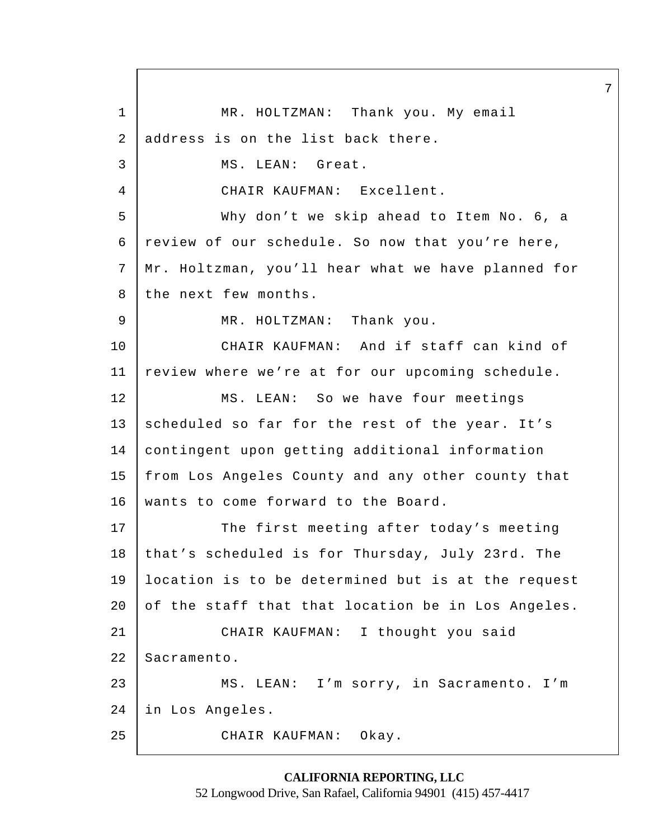1 MR. HOLTZMAN: Thank you. My email 2 address is on the list back there. 3 MS. LEAN: Great. 4 CHAIR KAUFMAN: Excellent. 5 Why don't we skip ahead to Item No. 6, a 6 review of our schedule. So now that you're here, 7 | Mr. Holtzman, you'll hear what we have planned for 8 the next few months. 9 MR. HOLTZMAN: Thank you. 10 CHAIR KAUFMAN: And if staff can kind of 11 | review where we're at for our upcoming schedule. 12 MS. LEAN: So we have four meetings 13 scheduled so far for the rest of the year. It's 14 contingent upon getting additional information 15 from Los Angeles County and any other county that 16 wants to come forward to the Board. 17 The first meeting after today's meeting 18 that's scheduled is for Thursday, July 23rd. The 19 location is to be determined but is at the request 20 of the staff that that location be in Los Angeles. 21 CHAIR KAUFMAN: I thought you said 22 Sacramento. 23 MS. LEAN: I'm sorry, in Sacramento. I'm 24 in Los Angeles. 25 CHAIR KAUFMAN: Okay.

7

**CALIFORNIA REPORTING, LLC** 52 Longwood Drive, San Rafael, California 94901 (415) 457-4417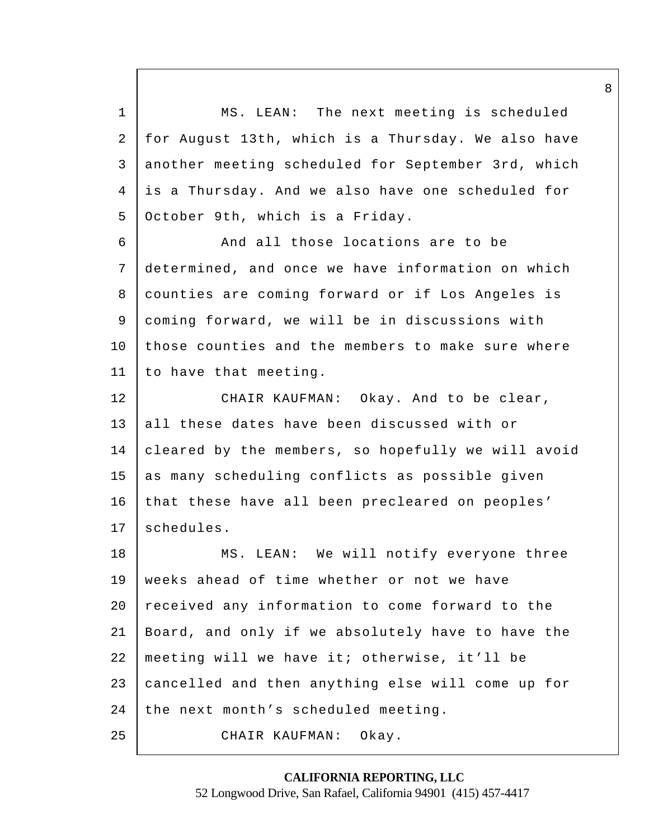1 | MS. LEAN: The next meeting is scheduled for August 13th, which is a Thursday. We also have another meeting scheduled for September 3rd, which is a Thursday. And we also have one scheduled for October 9th, which is a Friday.

 And all those locations are to be determined, and once we have information on which 8 counties are coming forward or if Los Angeles is coming forward, we will be in discussions with 10 those counties and the members to make sure where 11 to have that meeting.

12 CHAIR KAUFMAN: Okay. And to be clear, all these dates have been discussed with or cleared by the members, so hopefully we will avoid 15 as many scheduling conflicts as possible given that these have all been precleared on peoples' 17 schedules.

18 MS. LEAN: We will notify everyone three weeks ahead of time whether or not we have 20 received any information to come forward to the Board, and only if we absolutely have to have the meeting will we have it; otherwise, it'll be cancelled and then anything else will come up for 24 the next month's scheduled meeting. CHAIR KAUFMAN: Okay.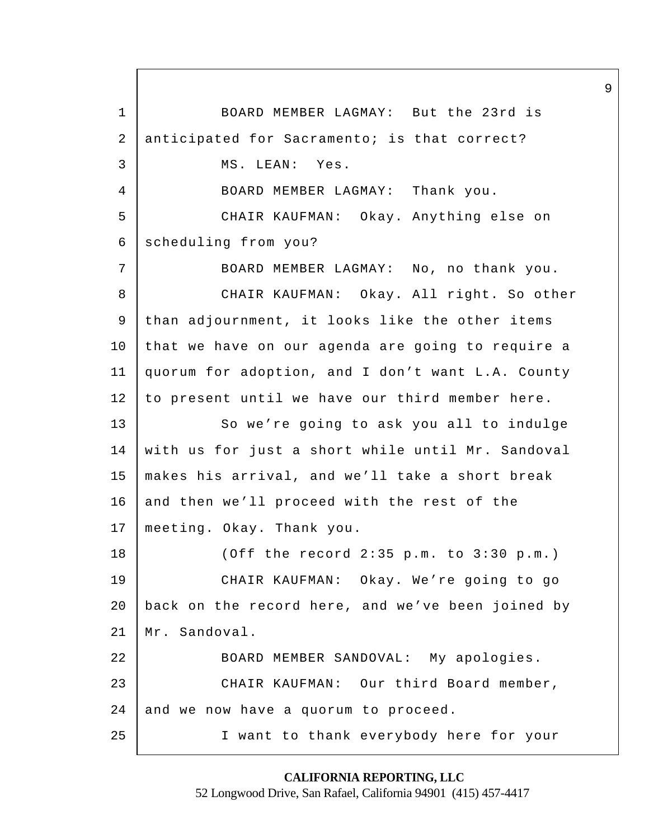BOARD MEMBER LAGMAY: But the 23rd is 2 anticipated for Sacramento; is that correct? MS. LEAN: Yes. BOARD MEMBER LAGMAY: Thank you. CHAIR KAUFMAN: Okay. Anything else on 6 scheduling from you? BOARD MEMBER LAGMAY: No, no thank you. CHAIR KAUFMAN: Okay. All right. So other 9 than adjournment, it looks like the other items that we have on our agenda are going to require a quorum for adoption, and I don't want L.A. County 12 to present until we have our third member here. 13 So we're going to ask you all to indulge with us for just a short while until Mr. Sandoval makes his arrival, and we'll take a short break 16 and then we'll proceed with the rest of the meeting. Okay. Thank you. (Off the record 2:35 p.m. to 3:30 p.m.) CHAIR KAUFMAN: Okay. We're going to go back on the record here, and we've been joined by Mr. Sandoval. BOARD MEMBER SANDOVAL: My apologies. CHAIR KAUFMAN: Our third Board member, and we now have a quorum to proceed. I want to thank everybody here for your

# **CALIFORNIA REPORTING, LLC**

Longwood Drive, San Rafael, California 94901 (415) 457-4417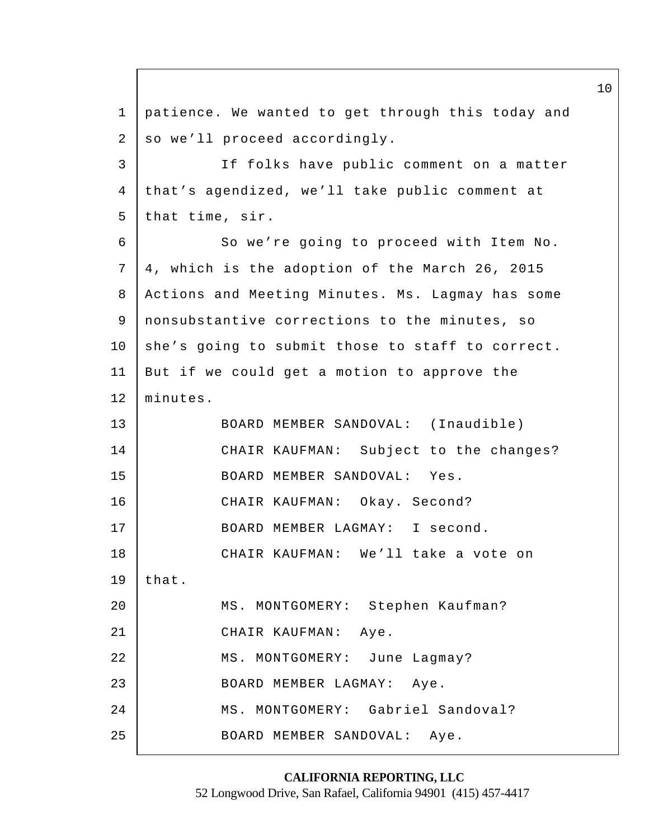1 patience. We wanted to get through this today and  $2$  so we'll proceed accordingly. 3 If folks have public comment on a matter 4 that's agendized, we'll take public comment at 5 | that time, sir. 6 So we're going to proceed with Item No.  $7 \mid 4$ , which is the adoption of the March 26, 2015 8 Actions and Meeting Minutes. Ms. Lagmay has some 9 nonsubstantive corrections to the minutes, so 10 she's going to submit those to staff to correct. 11 But if we could get a motion to approve the 12 minutes. 13 BOARD MEMBER SANDOVAL: (Inaudible) 14 CHAIR KAUFMAN: Subject to the changes? 15 BOARD MEMBER SANDOVAL: Yes. 16 CHAIR KAUFMAN: Okay. Second? 17 BOARD MEMBER LAGMAY: I second. 18 CHAIR KAUFMAN: We'll take a vote on  $19$  that. 20 | MS. MONTGOMERY: Stephen Kaufman? 21 CHAIR KAUFMAN: Aye. 22 MS. MONTGOMERY: June Lagmay? 23 SOARD MEMBER LAGMAY: Aye. 24 MS. MONTGOMERY: Gabriel Sandoval? 25 | BOARD MEMBER SANDOVAL: Aye.

> **CALIFORNIA REPORTING, LLC** 52 Longwood Drive, San Rafael, California 94901 (415) 457-4417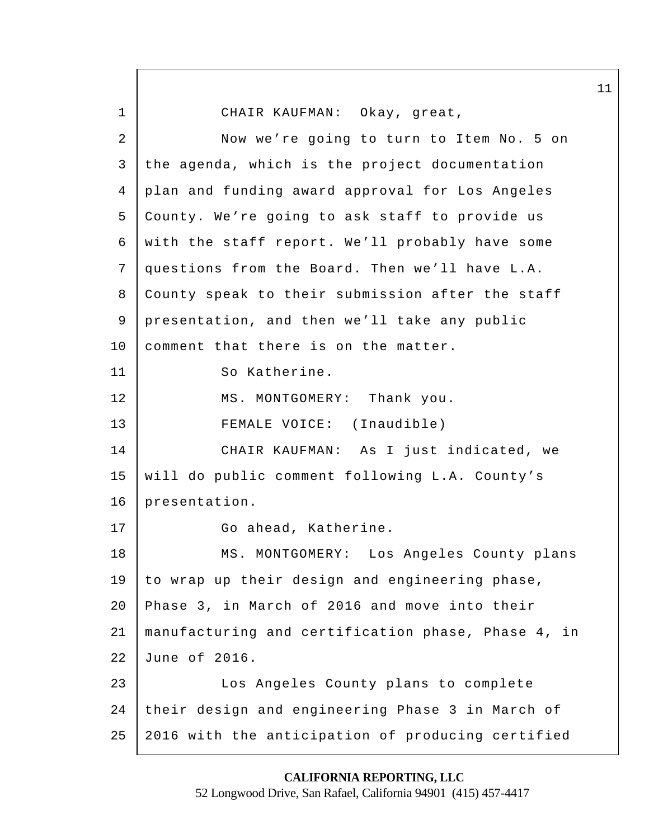CHAIR KAUFMAN: Okay, great, Now we're going to turn to Item No. 5 on the agenda, which is the project documentation plan and funding award approval for Los Angeles County. We're going to ask staff to provide us with the staff report. We'll probably have some  $7 \mid$  questions from the Board. Then we'll have L.A. 8 County speak to their submission after the staff 9 presentation, and then we'll take any public 10 comment that there is on the matter. So Katherine. 12 MS. MONTGOMERY: Thank you. FEMALE VOICE: (Inaudible) CHAIR KAUFMAN: As I just indicated, we will do public comment following L.A. County's 16 presentation. 17 | Go ahead, Katherine. 18 MS. MONTGOMERY: Los Angeles County plans 19 to wrap up their design and engineering phase, Phase 3, in March of 2016 and move into their manufacturing and certification phase, Phase 4, in June of 2016. Los Angeles County plans to complete their design and engineering Phase 3 in March of 2016 with the anticipation of producing certified

**CALIFORNIA REPORTING, LLC**

Longwood Drive, San Rafael, California 94901 (415) 457-4417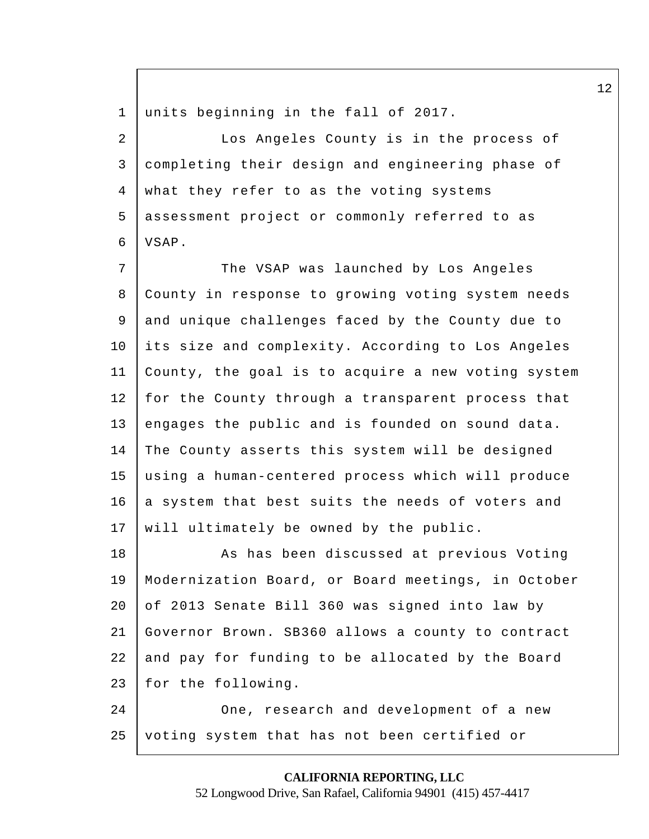1 units beginning in the fall of 2017.

 Los Angeles County is in the process of completing their design and engineering phase of 4 what they refer to as the voting systems assessment project or commonly referred to as VSAP.

7 The VSAP was launched by Los Angeles 8 County in response to growing voting system needs 9 and unique challenges faced by the County due to its size and complexity. According to Los Angeles County, the goal is to acquire a new voting system  $\vert$  for the County through a transparent process that 13 engages the public and is founded on sound data. The County asserts this system will be designed using a human-centered process which will produce 16 a system that best suits the needs of voters and will ultimately be owned by the public.

18 As has been discussed at previous Voting Modernization Board, or Board meetings, in October of 2013 Senate Bill 360 was signed into law by Governor Brown. SB360 allows a county to contract 22 and pay for funding to be allocated by the Board for the following.

 One, research and development of a new voting system that has not been certified or

**CALIFORNIA REPORTING, LLC**

Longwood Drive, San Rafael, California 94901 (415) 457-4417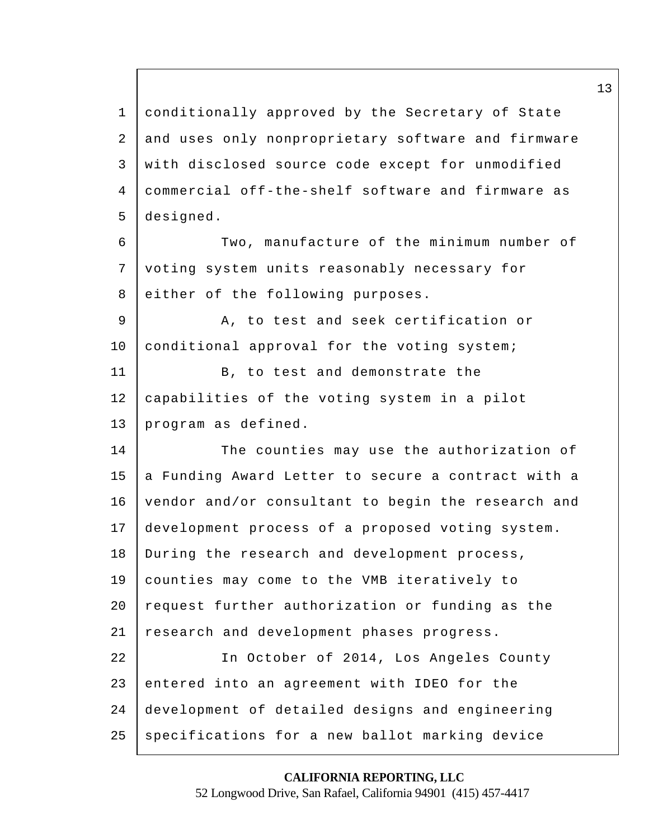1 conditionally approved by the Secretary of State 2 and uses only nonproprietary software and firmware 3 with disclosed source code except for unmodified 4 commercial off-the-shelf software and firmware as 5 designed. 6 Two, manufacture of the minimum number of 7 voting system units reasonably necessary for 8 either of the following purposes. 9 A, to test and seek certification or 10 conditional approval for the voting system; 11 B, to test and demonstrate the 12 capabilities of the voting system in a pilot 13 program as defined. 14 The counties may use the authorization of  $15$  a Funding Award Letter to secure a contract with a 16 vendor and/or consultant to begin the research and 17 development process of a proposed voting system. 18 During the research and development process, 19 counties may come to the VMB iteratively to 20 request further authorization or funding as the 21 research and development phases progress. 22 In October of 2014, Los Angeles County 23 entered into an agreement with IDEO for the 24 development of detailed designs and engineering 25 specifications for a new ballot marking device

> **CALIFORNIA REPORTING, LLC** 52 Longwood Drive, San Rafael, California 94901 (415) 457-4417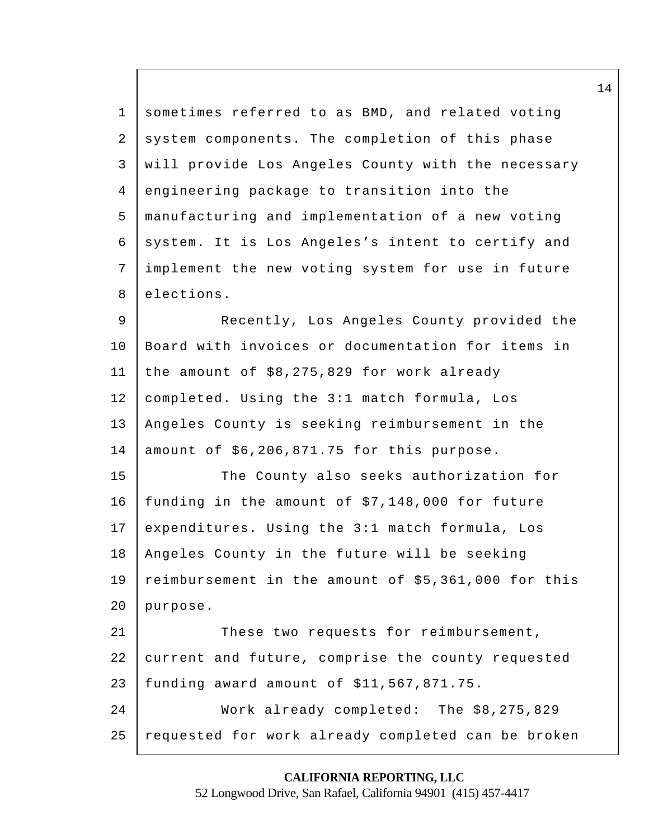sometimes referred to as BMD, and related voting 2 system components. The completion of this phase will provide Los Angeles County with the necessary 4 engineering package to transition into the manufacturing and implementation of a new voting 6 system. It is Los Angeles's intent to certify and implement the new voting system for use in future elections.

 Recently, Los Angeles County provided the Board with invoices or documentation for items in 11 the amount of  $$8,275,829$  for work already completed. Using the 3:1 match formula, Los Angeles County is seeking reimbursement in the amount of \$6,206,871.75 for this purpose.

15 The County also seeks authorization for funding in the amount of \$7,148,000 for future expenditures. Using the 3:1 match formula, Los Angeles County in the future will be seeking 19 reimbursement in the amount of \$5,361,000 for this purpose. 21 These two requests for reimbursement, 22 current and future, comprise the county requested funding award amount of \$11,567,871.75. Work already completed: The \$8,275,829

25 requested for work already completed can be broken

### **CALIFORNIA REPORTING, LLC**

Longwood Drive, San Rafael, California 94901 (415) 457-4417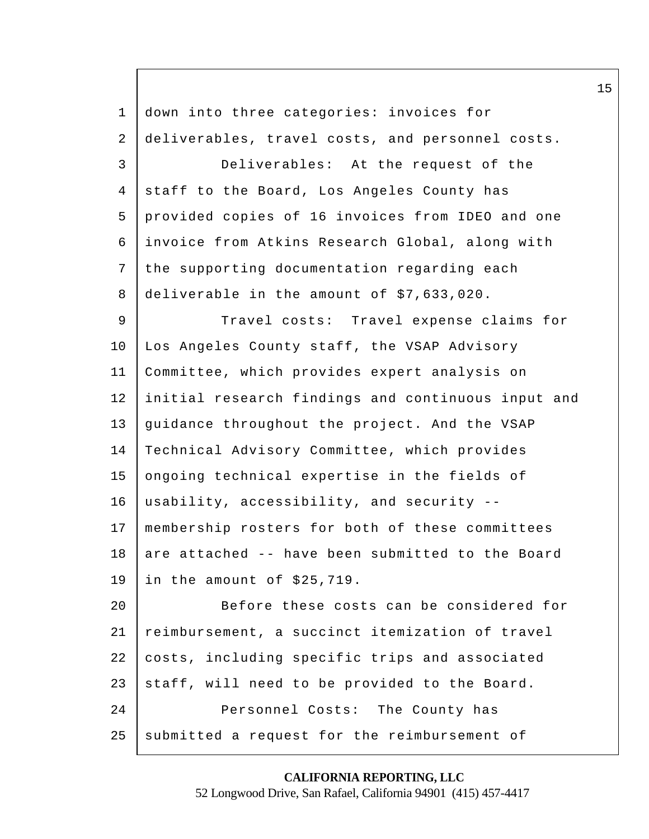1 down into three categories: invoices for 2 deliverables, travel costs, and personnel costs. Deliverables: At the request of the 4 staff to the Board, Los Angeles County has provided copies of 16 invoices from IDEO and one invoice from Atkins Research Global, along with 7 the supporting documentation regarding each deliverable in the amount of \$7,633,020. Travel costs: Travel expense claims for Los Angeles County staff, the VSAP Advisory Committee, which provides expert analysis on initial research findings and continuous input and guidance throughout the project. And the VSAP Technical Advisory Committee, which provides ongoing technical expertise in the fields of usability, accessibility, and security -- membership rosters for both of these committees are attached -- have been submitted to the Board in the amount of \$25,719. Before these costs can be considered for 21 reimbursement, a succinct itemization of travel 22 costs, including specific trips and associated 23 staff, will need to be provided to the Board. **Personnel Costs:** The County has 25 submitted a request for the reimbursement of

> **CALIFORNIA REPORTING, LLC** Longwood Drive, San Rafael, California 94901 (415) 457-4417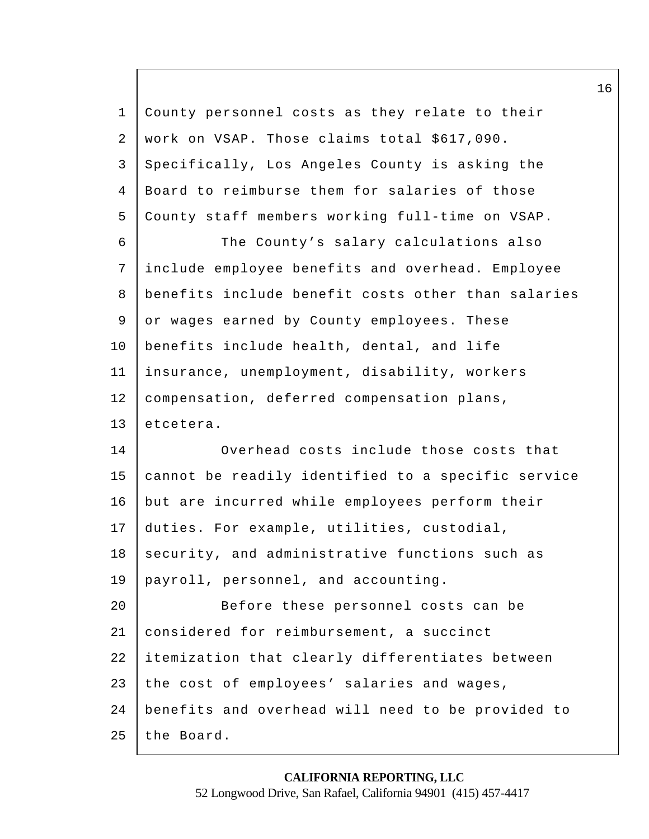County personnel costs as they relate to their work on VSAP. Those claims total \$617,090. 3 Specifically, Los Angeles County is asking the Board to reimburse them for salaries of those County staff members working full-time on VSAP. The County's salary calculations also include employee benefits and overhead. Employee benefits include benefit costs other than salaries or wages earned by County employees. These benefits include health, dental, and life insurance, unemployment, disability, workers 12 | compensation, deferred compensation plans, etcetera. Overhead costs include those costs that cannot be readily identified to a specific service but are incurred while employees perform their duties. For example, utilities, custodial, security, and administrative functions such as payroll, personnel, and accounting. 20 Before these personnel costs can be considered for reimbursement, a succinct itemization that clearly differentiates between the cost of employees' salaries and wages, benefits and overhead will need to be provided to 25 the Board.

# **CALIFORNIA REPORTING, LLC** Longwood Drive, San Rafael, California 94901 (415) 457-4417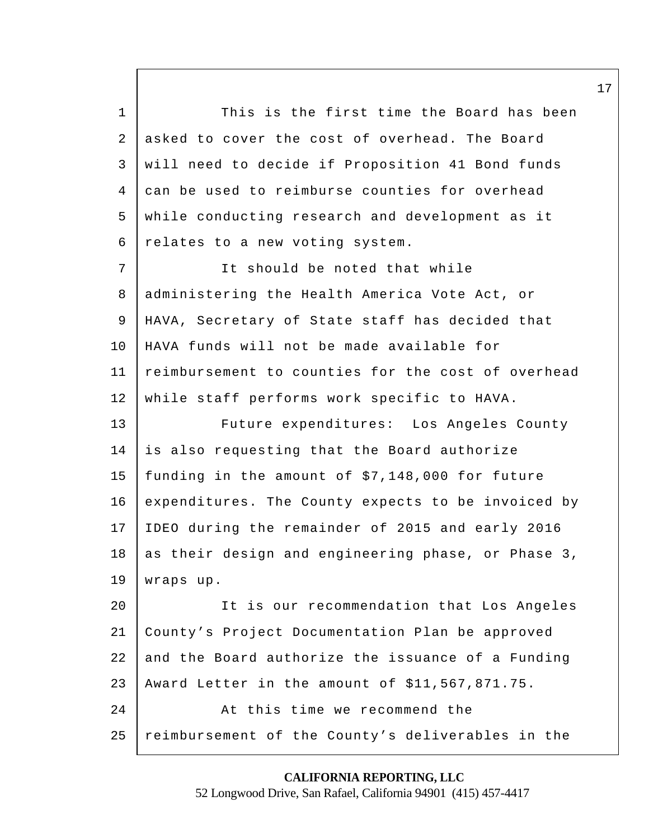1 This is the first time the Board has been 2 asked to cover the cost of overhead. The Board will need to decide if Proposition 41 Bond funds can be used to reimburse counties for overhead while conducting research and development as it relates to a new voting system. It should be noted that while 8 | administering the Health America Vote Act, or HAVA, Secretary of State staff has decided that HAVA funds will not be made available for 11 reimbursement to counties for the cost of overhead while staff performs work specific to HAVA. Future expenditures: Los Angeles County is also requesting that the Board authorize funding in the amount of \$7,148,000 for future 16 expenditures. The County expects to be invoiced by IDEO during the remainder of 2015 and early 2016 18 as their design and engineering phase, or Phase 3, wraps up. It is our recommendation that Los Angeles County's Project Documentation Plan be approved and the Board authorize the issuance of a Funding Award Letter in the amount of \$11,567,871.75. 24 At this time we recommend the

25 reimbursement of the County's deliverables in the

**CALIFORNIA REPORTING, LLC** Longwood Drive, San Rafael, California 94901 (415) 457-4417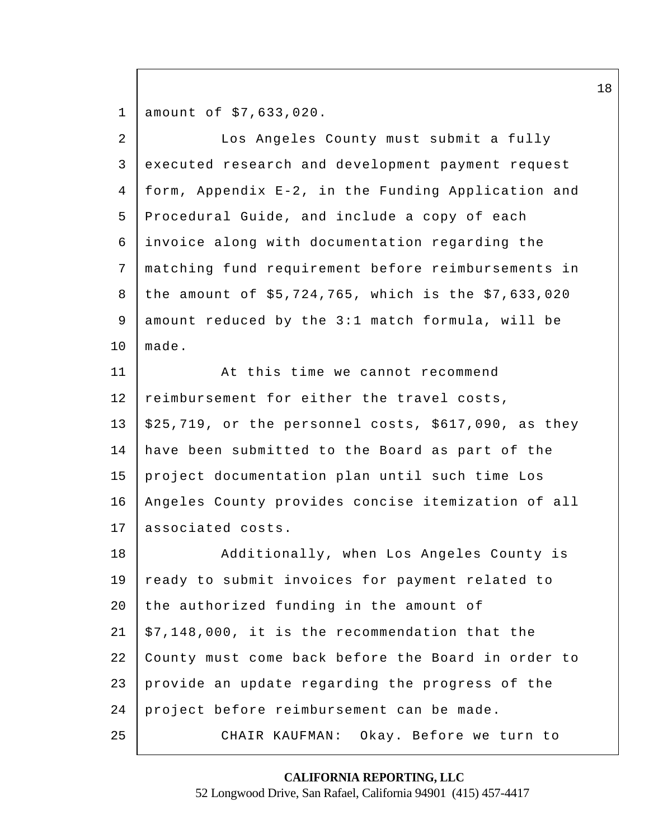amount of \$7,633,020.

 Los Angeles County must submit a fully executed research and development payment request form, Appendix E-2, in the Funding Application and Procedural Guide, and include a copy of each invoice along with documentation regarding the matching fund requirement before reimbursements in the amount of \$5,724,765, which is the \$7,633,020 9 amount reduced by the 3:1 match formula, will be made.

11 At this time we cannot recommend 12 reimbursement for either the travel costs,  $13 \mid $25,719$ , or the personnel costs, \$617,090, as they have been submitted to the Board as part of the project documentation plan until such time Los Angeles County provides concise itemization of all 17 associated costs.

18 Additionally, when Los Angeles County is 19 ready to submit invoices for payment related to 20 the authorized funding in the amount of  $21 \mid $7,148,000$ , it is the recommendation that the County must come back before the Board in order to provide an update regarding the progress of the project before reimbursement can be made. CHAIR KAUFMAN: Okay. Before we turn to

**CALIFORNIA REPORTING, LLC**

Longwood Drive, San Rafael, California 94901 (415) 457-4417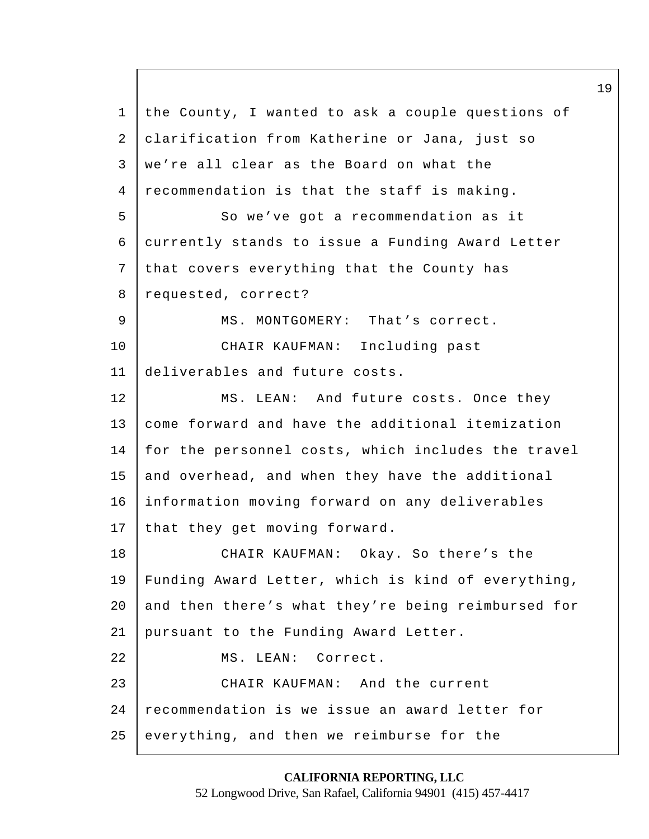1 the County, I wanted to ask a couple questions of 2 clarification from Katherine or Jana, just so we're all clear as the Board on what the recommendation is that the staff is making. 5 So we've got a recommendation as it currently stands to issue a Funding Award Letter that covers everything that the County has 8 requested, correct? 9 MS. MONTGOMERY: That's correct. CHAIR KAUFMAN: Including past deliverables and future costs. 12 MS. LEAN: And future costs. Once they come forward and have the additional itemization for the personnel costs, which includes the travel 15 and overhead, and when they have the additional information moving forward on any deliverables 17 that they get moving forward. CHAIR KAUFMAN: Okay. So there's the Funding Award Letter, which is kind of everything, 20 and then there's what they're being reimbursed for pursuant to the Funding Award Letter. MS. LEAN: Correct. CHAIR KAUFMAN: And the current recommendation is we issue an award letter for everything, and then we reimburse for the

**CALIFORNIA REPORTING, LLC**

Longwood Drive, San Rafael, California 94901 (415) 457-4417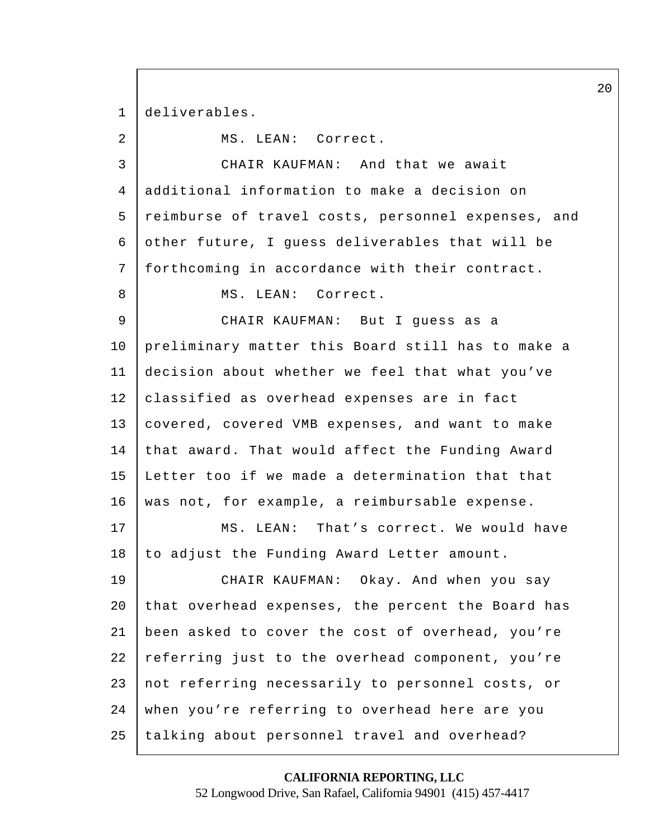1 deliverables.

| $\overline{2}$ | MS. LEAN: Correct.                                 |  |
|----------------|----------------------------------------------------|--|
| 3              | CHAIR KAUFMAN: And that we await                   |  |
| 4              | additional information to make a decision on       |  |
| 5              | reimburse of travel costs, personnel expenses, and |  |
| 6              | other future, I quess deliverables that will be    |  |
| 7              | forthcoming in accordance with their contract.     |  |
| 8              | MS. LEAN: Correct.                                 |  |
| $\mathsf 9$    | CHAIR KAUFMAN: But I guess as a                    |  |
| 10             | preliminary matter this Board still has to make a  |  |
| 11             | decision about whether we feel that what you've    |  |
| 12             | classified as overhead expenses are in fact        |  |
| 13             | covered, covered VMB expenses, and want to make    |  |
| 14             | that award. That would affect the Funding Award    |  |
| 15             | Letter too if we made a determination that that    |  |
| 16             | was not, for example, a reimbursable expense.      |  |
| 17             | MS. LEAN: That's correct. We would have            |  |
| 18             | to adjust the Funding Award Letter amount.         |  |
| 19             | CHAIR KAUFMAN: Okay. And when you say              |  |
| 20             | that overhead expenses, the percent the Board has  |  |
| 21             | been asked to cover the cost of overhead, you're   |  |
| 22             | referring just to the overhead component, you're   |  |
| 23             | not referring necessarily to personnel costs, or   |  |
| 24             | when you're referring to overhead here are you     |  |
| 25             | talking about personnel travel and overhead?       |  |

**CALIFORNIA REPORTING, LLC** Longwood Drive, San Rafael, California 94901 (415) 457-4417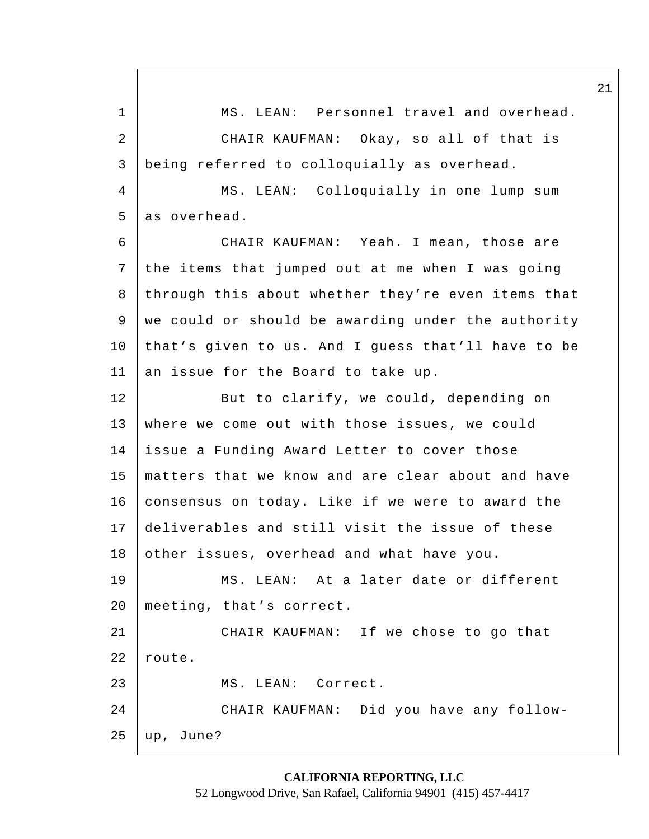1 | MS. LEAN: Personnel travel and overhead. CHAIR KAUFMAN: Okay, so all of that is being referred to colloquially as overhead. MS. LEAN: Colloquially in one lump sum 5 as overhead. CHAIR KAUFMAN: Yeah. I mean, those are the items that jumped out at me when I was going 8 through this about whether they're even items that we could or should be awarding under the authority that's given to us. And I guess that'll have to be 11 an issue for the Board to take up. 12 | But to clarify, we could, depending on 13 where we come out with those issues, we could issue a Funding Award Letter to cover those matters that we know and are clear about and have consensus on today. Like if we were to award the deliverables and still visit the issue of these 18 other issues, overhead and what have you. MS. LEAN: At a later date or different meeting, that's correct. CHAIR KAUFMAN: If we chose to go that route. 23 MS. LEAN: Correct. CHAIR KAUFMAN: Did you have any follow- $25 \mid up, June?$ 

# **CALIFORNIA REPORTING, LLC** Longwood Drive, San Rafael, California 94901 (415) 457-4417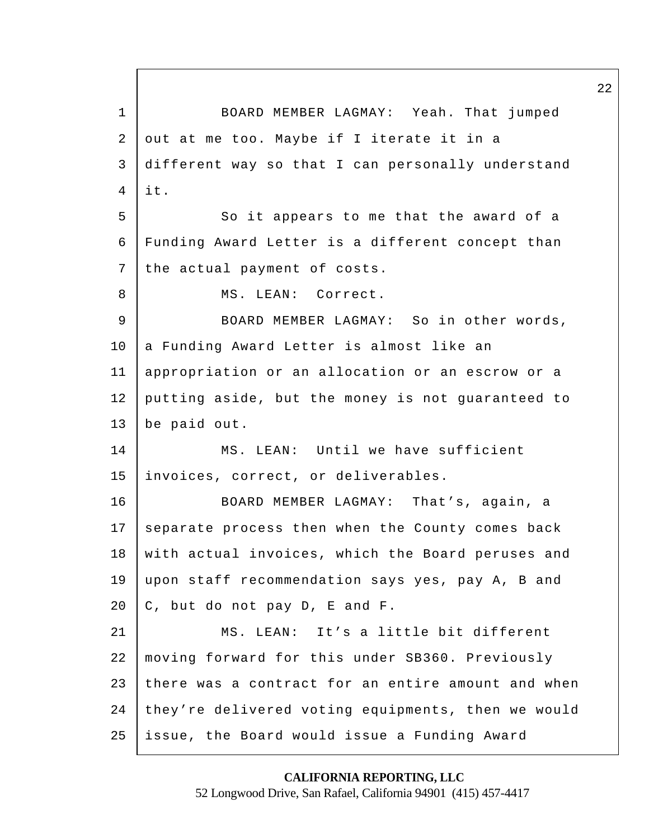BOARD MEMBER LAGMAY: Yeah. That jumped out at me too. Maybe if I iterate it in a different way so that I can personally understand it. 5 So it appears to me that the award of a Funding Award Letter is a different concept than the actual payment of costs. 8 MS. LEAN: Correct. BOARD MEMBER LAGMAY: So in other words, 10 | a Funding Award Letter is almost like an appropriation or an allocation or an escrow or a putting aside, but the money is not guaranteed to be paid out. MS. LEAN: Until we have sufficient invoices, correct, or deliverables. BOARD MEMBER LAGMAY: That's, again, a 17 separate process then when the County comes back 18 with actual invoices, which the Board peruses and upon staff recommendation says yes, pay A, B and  $C$ , but do not pay D, E and F. MS. LEAN: It's a little bit different moving forward for this under SB360. Previously there was a contract for an entire amount and when 24 they're delivered voting equipments, then we would issue, the Board would issue a Funding Award

> **CALIFORNIA REPORTING, LLC** Longwood Drive, San Rafael, California 94901 (415) 457-4417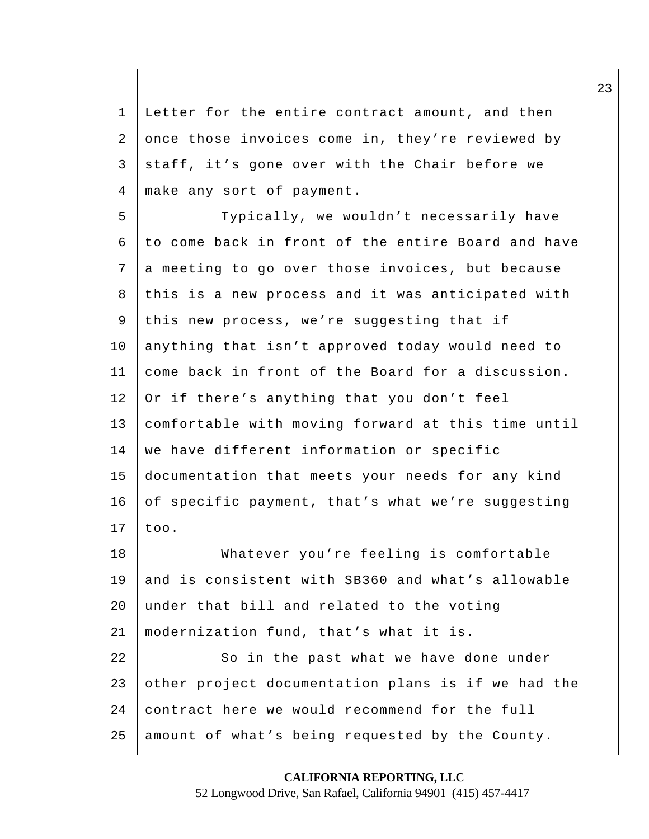1 Letter for the entire contract amount, and then 2 once those invoices come in, they're reviewed by staff, it's gone over with the Chair before we make any sort of payment.

5 | Typically, we wouldn't necessarily have to come back in front of the entire Board and have a meeting to go over those invoices, but because this is a new process and it was anticipated with 9 this new process, we're suggesting that if anything that isn't approved today would need to come back in front of the Board for a discussion. Or if there's anything that you don't feel comfortable with moving forward at this time until we have different information or specific documentation that meets your needs for any kind 16 of specific payment, that's what we're suggesting too. Whatever you're feeling is comfortable

 and is consistent with SB360 and what's allowable 20 under that bill and related to the voting 21 | modernization fund, that's what it is. 22 So in the past what we have done under other project documentation plans is if we had the 24 contract here we would recommend for the full amount of what's being requested by the County.

# **CALIFORNIA REPORTING, LLC**

Longwood Drive, San Rafael, California 94901 (415) 457-4417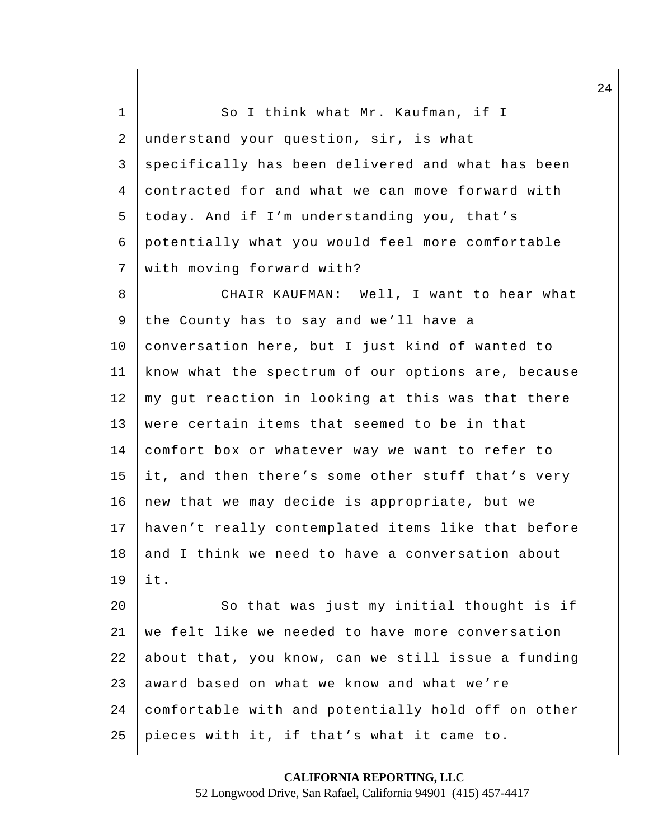1 So I think what Mr. Kaufman, if I 2 understand your question, sir, is what 3 specifically has been delivered and what has been 4 contracted for and what we can move forward with 5 today. And if I'm understanding you, that's 6 potentially what you would feel more comfortable 7 with moving forward with? 8 CHAIR KAUFMAN: Well, I want to hear what 9 the County has to say and we'll have a 10 conversation here, but I just kind of wanted to 11 | know what the spectrum of our options are, because 12 | my gut reaction in looking at this was that there 13 were certain items that seemed to be in that 14 comfort box or whatever way we want to refer to 15 it, and then there's some other stuff that's very  $16$  new that we may decide is appropriate, but we 17 haven't really contemplated items like that before 18 and I think we need to have a conversation about  $19$  it. 20 So that was just my initial thought is if 21 we felt like we needed to have more conversation 22 about that, you know, can we still issue a funding 23 award based on what we know and what we're 24 comfortable with and potentially hold off on other 25 pieces with it, if that's what it came to.

# **CALIFORNIA REPORTING, LLC** 52 Longwood Drive, San Rafael, California 94901 (415) 457-4417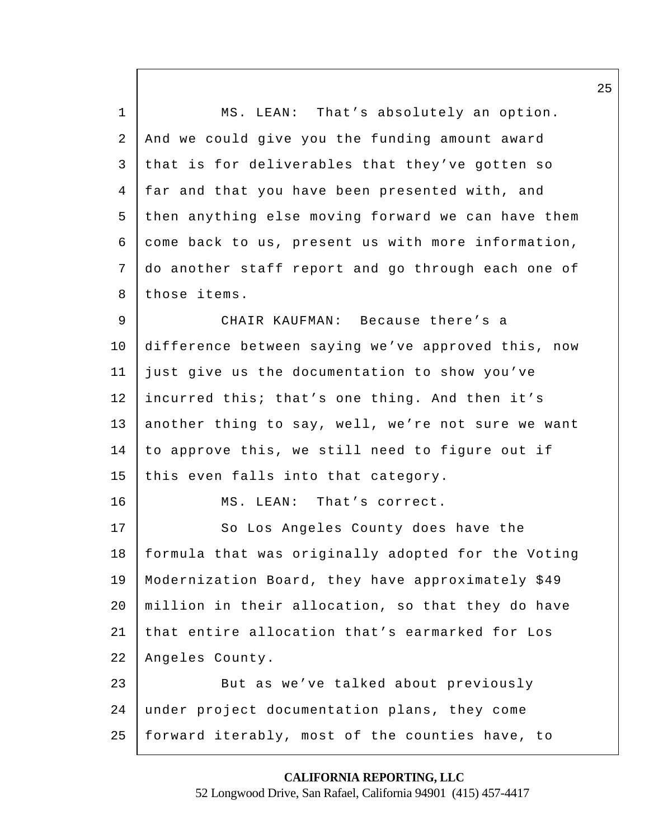1 MS. LEAN: That's absolutely an option. 2 | And we could give you the funding amount award that is for deliverables that they've gotten so far and that you have been presented with, and then anything else moving forward we can have them come back to us, present us with more information, do another staff report and go through each one of 8 those items. CHAIR KAUFMAN: Because there's a difference between saying we've approved this, now just give us the documentation to show you've incurred this; that's one thing. And then it's 13 another thing to say, well, we're not sure we want to approve this, we still need to figure out if 15 this even falls into that category. MS. LEAN: That's correct. 17 So Los Angeles County does have the formula that was originally adopted for the Voting Modernization Board, they have approximately \$49 million in their allocation, so that they do have that entire allocation that's earmarked for Los Angeles County. 23 But as we've talked about previously under project documentation plans, they come forward iterably, most of the counties have, to

# **CALIFORNIA REPORTING, LLC**

Longwood Drive, San Rafael, California 94901 (415) 457-4417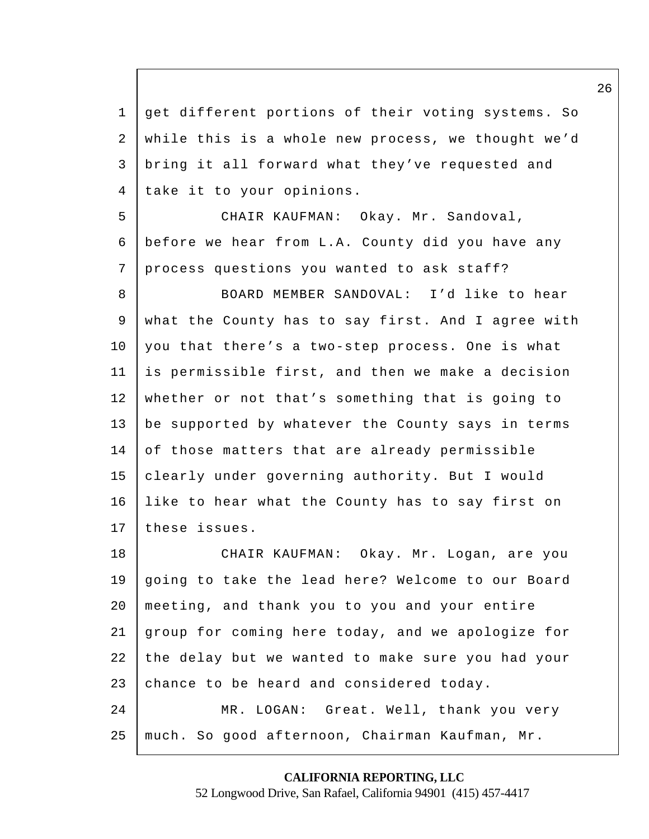get different portions of their voting systems. So while this is a whole new process, we thought we'd bring it all forward what they've requested and 4 take it to your opinions.

 CHAIR KAUFMAN: Okay. Mr. Sandoval, before we hear from L.A. County did you have any 7 process questions you wanted to ask staff?

8 BOARD MEMBER SANDOVAL: I'd like to hear what the County has to say first. And I agree with 10 you that there's a two-step process. One is what is permissible first, and then we make a decision whether or not that's something that is going to be supported by whatever the County says in terms 14 of those matters that are already permissible clearly under governing authority. But I would like to hear what the County has to say first on 17 these issues.

 CHAIR KAUFMAN: Okay. Mr. Logan, are you going to take the lead here? Welcome to our Board meeting, and thank you to you and your entire group for coming here today, and we apologize for 22 the delay but we wanted to make sure you had your 23 chance to be heard and considered today. MR. LOGAN: Great. Well, thank you very much. So good afternoon, Chairman Kaufman, Mr.

**CALIFORNIA REPORTING, LLC**

Longwood Drive, San Rafael, California 94901 (415) 457-4417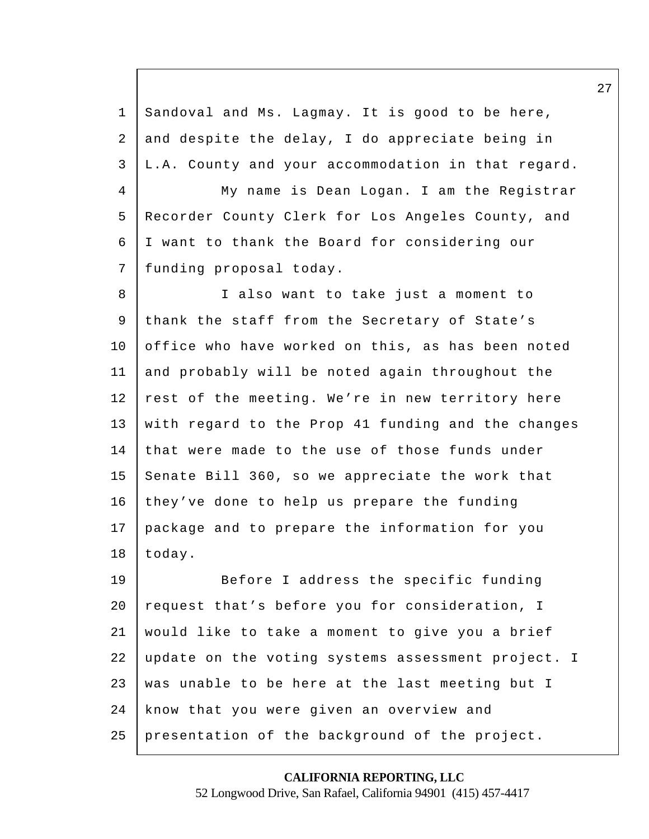1 | Sandoval and Ms. Lagmay. It is good to be here, and despite the delay, I do appreciate being in  $3 \mid L.A.$  County and your accommodation in that regard. My name is Dean Logan. I am the Registrar Recorder County Clerk for Los Angeles County, and I want to thank the Board for considering our 7 | funding proposal today. I also want to take just a moment to 9 thank the staff from the Secretary of State's office who have worked on this, as has been noted and probably will be noted again throughout the 12 rest of the meeting. We're in new territory here with regard to the Prop 41 funding and the changes 14 that were made to the use of those funds under 15 Senate Bill 360, so we appreciate the work that 16 they've done to help us prepare the funding package and to prepare the information for you today. Before I address the specific funding 20 request that's before you for consideration, I would like to take a moment to give you a brief update on the voting systems assessment project. I was unable to be here at the last meeting but I

24 know that you were given an overview and

presentation of the background of the project.

**CALIFORNIA REPORTING, LLC**

Longwood Drive, San Rafael, California 94901 (415) 457-4417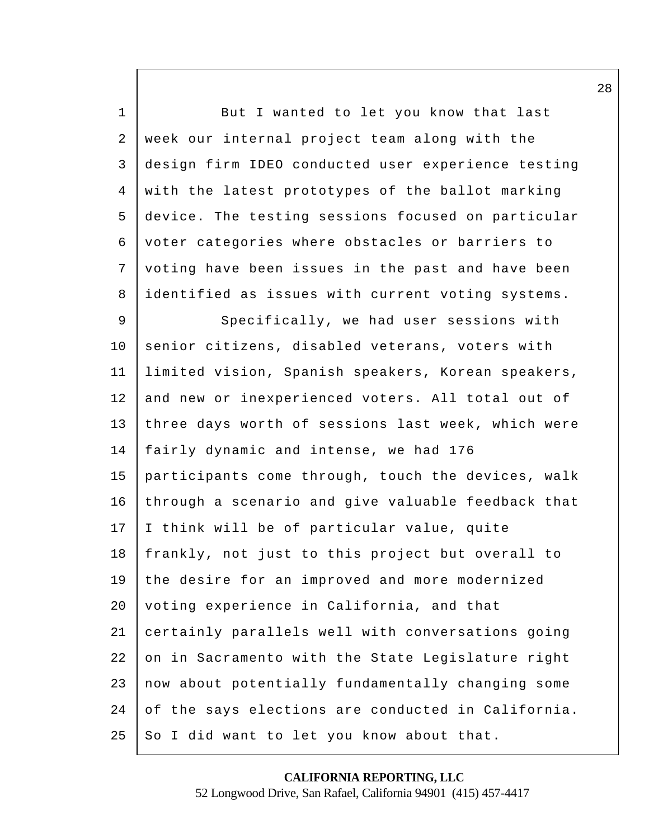1 But I wanted to let you know that last week our internal project team along with the design firm IDEO conducted user experience testing with the latest prototypes of the ballot marking device. The testing sessions focused on particular voter categories where obstacles or barriers to 7 voting have been issues in the past and have been 8 identified as issues with current voting systems. 9 Specifically, we had user sessions with 10 senior citizens, disabled veterans, voters with limited vision, Spanish speakers, Korean speakers, 12 and new or inexperienced voters. All total out of three days worth of sessions last week, which were fairly dynamic and intense, we had 176 participants come through, touch the devices, walk through a scenario and give valuable feedback that I think will be of particular value, quite frankly, not just to this project but overall to 19 the desire for an improved and more modernized 20 voting experience in California, and that certainly parallels well with conversations going 22 on in Sacramento with the State Legislature right now about potentially fundamentally changing some of the says elections are conducted in California. So I did want to let you know about that.

> **CALIFORNIA REPORTING, LLC** Longwood Drive, San Rafael, California 94901 (415) 457-4417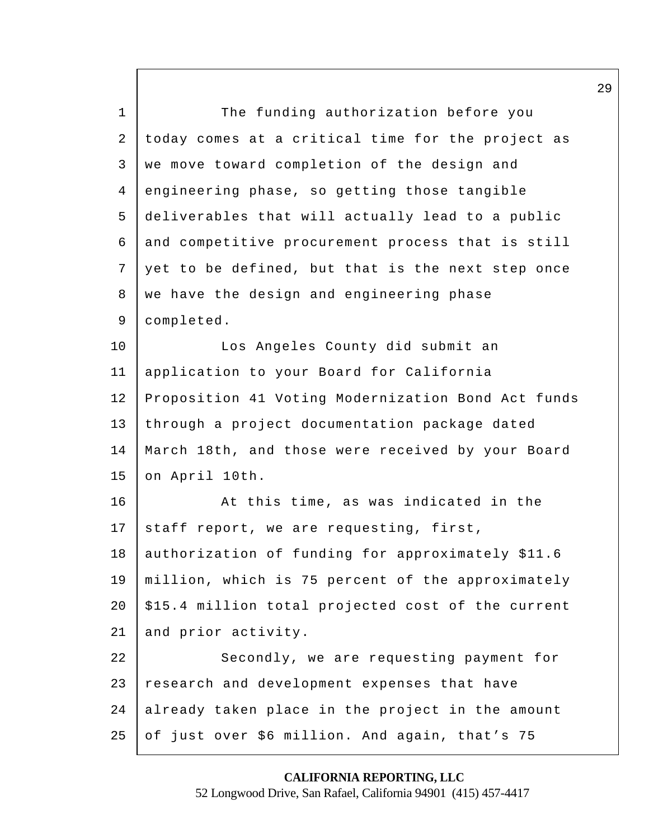1 The funding authorization before you 2 today comes at a critical time for the project as 3 we move toward completion of the design and 4 engineering phase, so getting those tangible 5 deliverables that will actually lead to a public 6 and competitive procurement process that is still  $7$   $\sqrt{ }$  yet to be defined, but that is the next step once 8 | we have the design and engineering phase 9 | completed. 10 Los Angeles County did submit an 11 application to your Board for California 12 Proposition 41 Voting Modernization Bond Act funds 13 through a project documentation package dated 14 March 18th, and those were received by your Board 15 on April 10th. 16 At this time, as was indicated in the 17 staff report, we are requesting, first, 18 authorization of funding for approximately \$11.6 19 million, which is 75 percent of the approximately  $20$   $\frac{1}{20}$  \$15.4 million total projected cost of the current 21 and prior activity. 22 Secondly, we are requesting payment for 23 research and development expenses that have 24 already taken place in the project in the amount 25 of just over \$6 million. And again, that's 75

**CALIFORNIA REPORTING, LLC**

52 Longwood Drive, San Rafael, California 94901 (415) 457-4417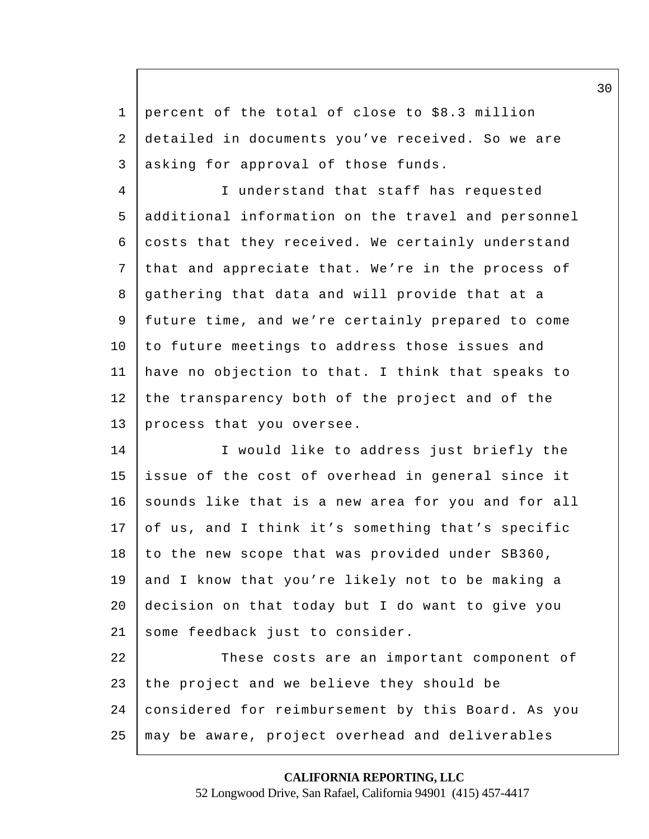1 percent of the total of close to \$8.3 million 2 detailed in documents you've received. So we are 3 asking for approval of those funds.

4 I understand that staff has requested 5 additional information on the travel and personnel 6 costs that they received. We certainly understand 7 that and appreciate that. We're in the process of 8 | gathering that data and will provide that at a 9 future time, and we're certainly prepared to come 10 to future meetings to address those issues and 11 have no objection to that. I think that speaks to  $12$  the transparency both of the project and of the 13 process that you oversee.

14 I would like to address just briefly the 15 issue of the cost of overhead in general since it 16 sounds like that is a new area for you and for all 17 of us, and I think it's something that's specific 18 to the new scope that was provided under SB360, 19 and I know that you're likely not to be making a 20 decision on that today but I do want to give you 21 some feedback just to consider.

22 These costs are an important component of 23 the project and we believe they should be 24 considered for reimbursement by this Board. As you 25 may be aware, project overhead and deliverables

# **CALIFORNIA REPORTING, LLC** 52 Longwood Drive, San Rafael, California 94901 (415) 457-4417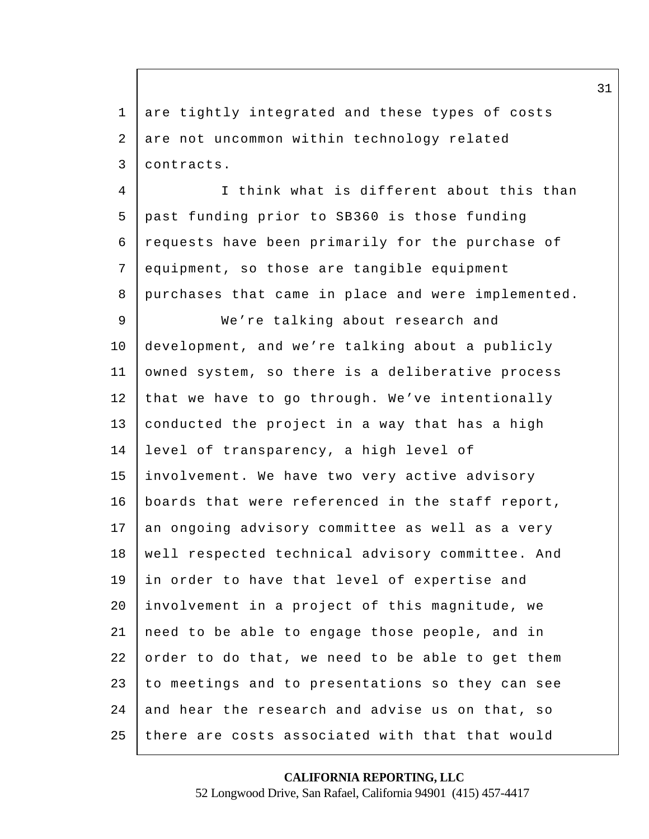1 are tightly integrated and these types of costs 2 are not uncommon within technology related contracts.

 I think what is different about this than past funding prior to SB360 is those funding 6 requests have been primarily for the purchase of 7 equipment, so those are tangible equipment purchases that came in place and were implemented.

9 We're talking about research and development, and we're talking about a publicly 11 owned system, so there is a deliberative process 12 that we have to go through. We've intentionally conducted the project in a way that has a high level of transparency, a high level of involvement. We have two very active advisory boards that were referenced in the staff report, 17 an ongoing advisory committee as well as a very 18 well respected technical advisory committee. And in order to have that level of expertise and involvement in a project of this magnitude, we need to be able to engage those people, and in 22 order to do that, we need to be able to get them to meetings and to presentations so they can see and hear the research and advise us on that, so there are costs associated with that that would

> **CALIFORNIA REPORTING, LLC** Longwood Drive, San Rafael, California 94901 (415) 457-4417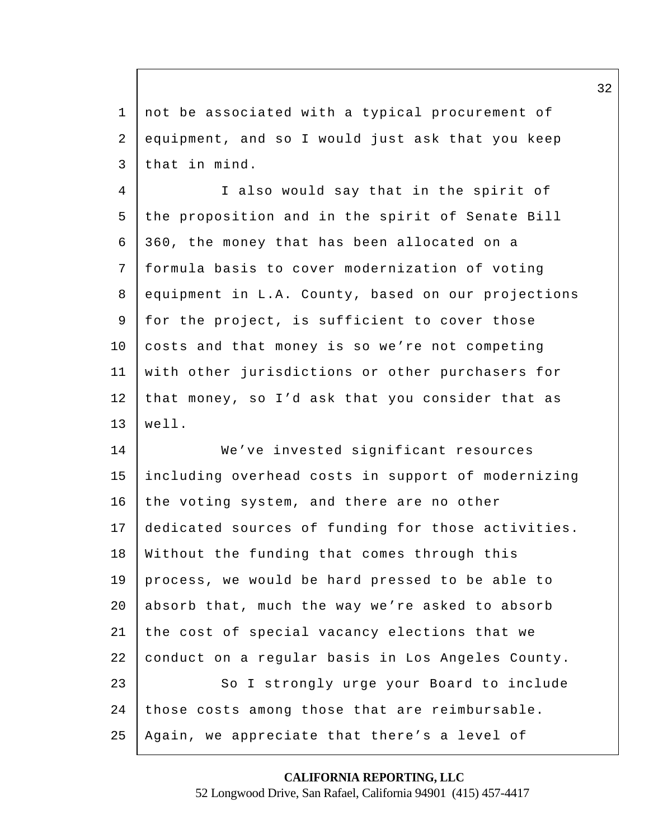1 not be associated with a typical procurement of 2 equipment, and so I would just ask that you keep that in mind.

 I also would say that in the spirit of the proposition and in the spirit of Senate Bill 360, the money that has been allocated on a formula basis to cover modernization of voting 8 equipment in L.A. County, based on our projections for the project, is sufficient to cover those 10 costs and that money is so we're not competing 11 with other jurisdictions or other purchasers for 12 that money, so I'd ask that you consider that as well.

14 We've invested significant resources including overhead costs in support of modernizing 16 the voting system, and there are no other 17 dedicated sources of funding for those activities. Without the funding that comes through this process, we would be hard pressed to be able to absorb that, much the way we're asked to absorb the cost of special vacancy elections that we conduct on a regular basis in Los Angeles County. 23 So I strongly urge your Board to include those costs among those that are reimbursable. Again, we appreciate that there's a level of

> **CALIFORNIA REPORTING, LLC** Longwood Drive, San Rafael, California 94901 (415) 457-4417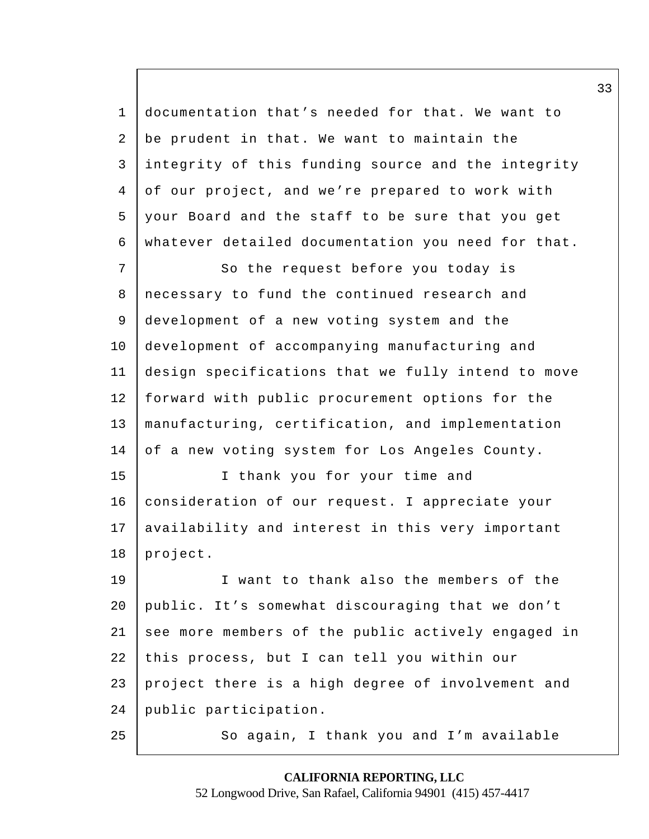1 documentation that's needed for that. We want to 2 be prudent in that. We want to maintain the 3 integrity of this funding source and the integrity 4 of our project, and we're prepared to work with 5 your Board and the staff to be sure that you get 6 whatever detailed documentation you need for that. 7 So the request before you today is 8 necessary to fund the continued research and 9 development of a new voting system and the 10 development of accompanying manufacturing and 11 design specifications that we fully intend to move 12 forward with public procurement options for the 13 manufacturing, certification, and implementation 14 of a new voting system for Los Angeles County. 15 I thank you for your time and 16 consideration of our request. I appreciate your 17 | availability and interest in this very important 18 project. 19 I want to thank also the members of the 20 public. It's somewhat discouraging that we don't 21 see more members of the public actively engaged in 22 this process, but I can tell you within our 23 project there is a high degree of involvement and 24 public participation. 25 So again, I thank you and I'm available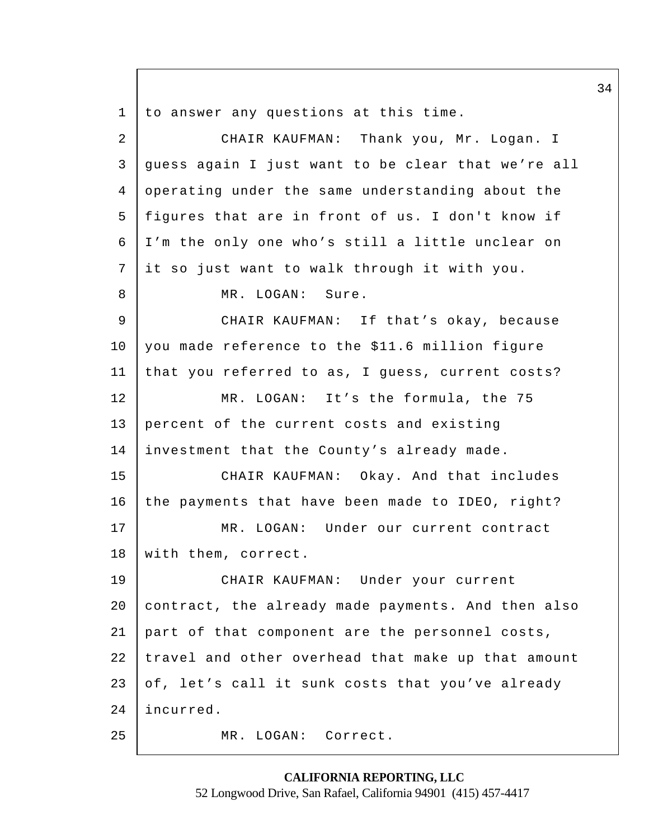1 to answer any questions at this time. CHAIR KAUFMAN: Thank you, Mr. Logan. I 3 quess again I just want to be clear that we're all operating under the same understanding about the figures that are in front of us. I don't know if I'm the only one who's still a little unclear on it so just want to walk through it with you. 8 MR. LOGAN: Sure. CHAIR KAUFMAN: If that's okay, because you made reference to the \$11.6 million figure that you referred to as, I guess, current costs? 12 MR. LOGAN: It's the formula, the 75 percent of the current costs and existing investment that the County's already made. CHAIR KAUFMAN: Okay. And that includes 16 the payments that have been made to IDEO, right? MR. LOGAN: Under our current contract 18 | with them, correct. CHAIR KAUFMAN: Under your current contract, the already made payments. And then also part of that component are the personnel costs, 22 travel and other overhead that make up that amount 23 of, let's call it sunk costs that you've already incurred. MR. LOGAN: Correct.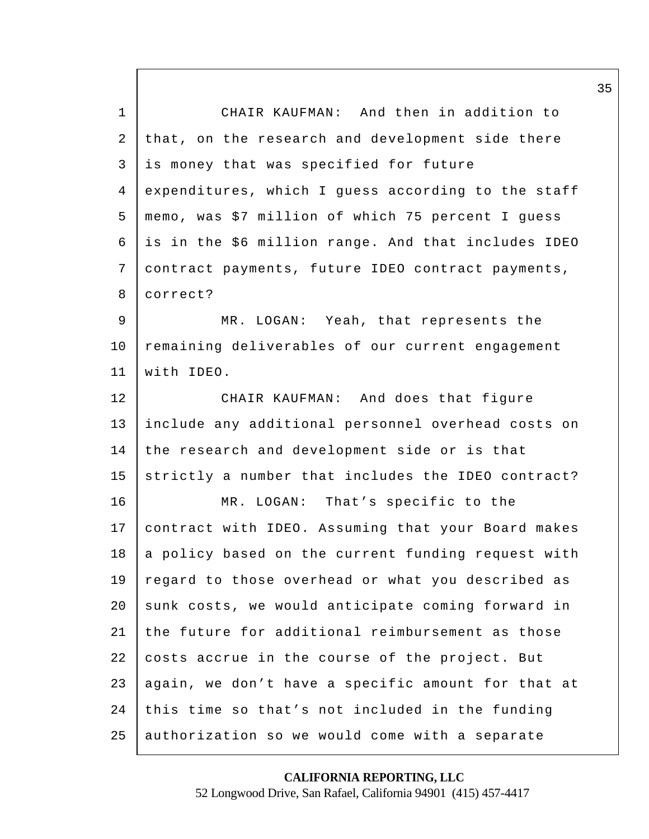CHAIR KAUFMAN: And then in addition to 2 that, on the research and development side there is money that was specified for future expenditures, which I guess according to the staff memo, was \$7 million of which 75 percent I guess is in the \$6 million range. And that includes IDEO contract payments, future IDEO contract payments, correct?

9 MR. LOGAN: Yeah, that represents the 10 remaining deliverables of our current engagement with IDEO.

12 CHAIR KAUFMAN: And does that figure include any additional personnel overhead costs on 14 the research and development side or is that 15 strictly a number that includes the IDEO contract? MR. LOGAN: That's specific to the contract with IDEO. Assuming that your Board makes a policy based on the current funding request with 19 | regard to those overhead or what you described as 20 sunk costs, we would anticipate coming forward in the future for additional reimbursement as those 22 costs accrue in the course of the project. But 23 again, we don't have a specific amount for that at this time so that's not included in the funding authorization so we would come with a separate

> **CALIFORNIA REPORTING, LLC** Longwood Drive, San Rafael, California 94901 (415) 457-4417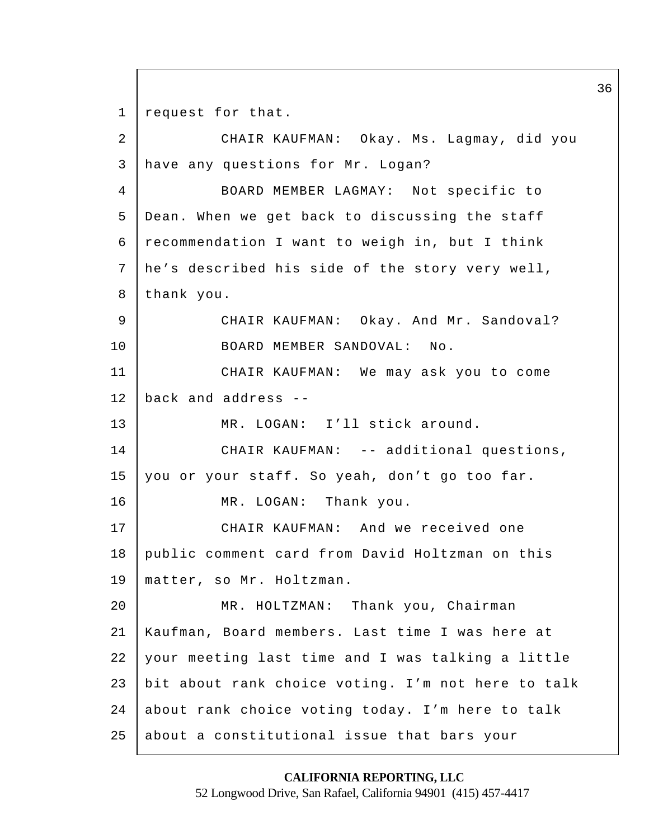1 request for that.

 CHAIR KAUFMAN: Okay. Ms. Lagmay, did you have any questions for Mr. Logan? BOARD MEMBER LAGMAY: Not specific to Dean. When we get back to discussing the staff recommendation I want to weigh in, but I think 7 he's described his side of the story very well, 8 thank you. CHAIR KAUFMAN: Okay. And Mr. Sandoval? BOARD MEMBER SANDOVAL: No. CHAIR KAUFMAN: We may ask you to come back and address -- MR. LOGAN: I'll stick around. CHAIR KAUFMAN: -- additional questions, you or your staff. So yeah, don't go too far. 16 MR. LOGAN: Thank you. CHAIR KAUFMAN: And we received one public comment card from David Holtzman on this matter, so Mr. Holtzman. 20 MR. HOLTZMAN: Thank you, Chairman Kaufman, Board members. Last time I was here at your meeting last time and I was talking a little bit about rank choice voting. I'm not here to talk about rank choice voting today. I'm here to talk about a constitutional issue that bars your

**CALIFORNIA REPORTING, LLC**

Longwood Drive, San Rafael, California 94901 (415) 457-4417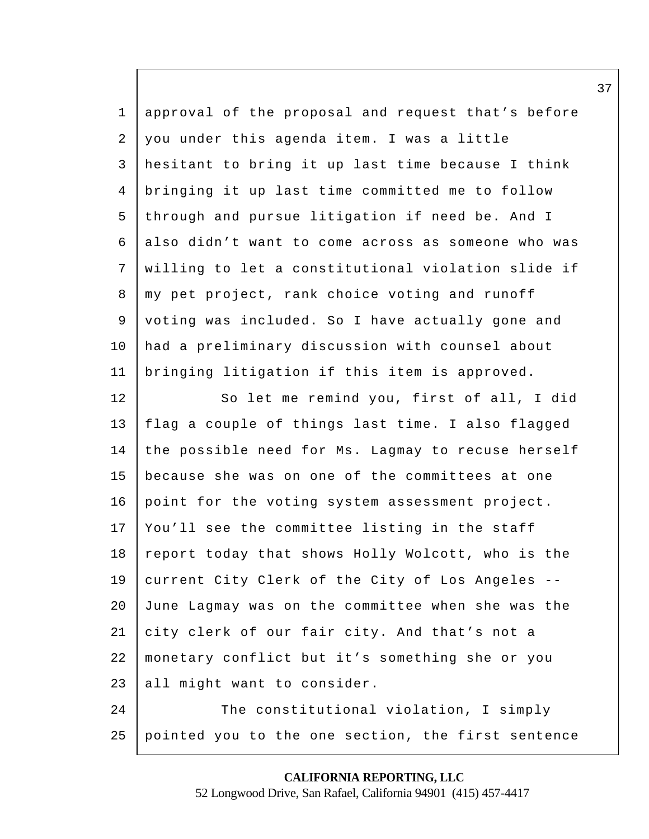approval of the proposal and request that's before you under this agenda item. I was a little hesitant to bring it up last time because I think bringing it up last time committed me to follow through and pursue litigation if need be. And I 6 also didn't want to come across as someone who was willing to let a constitutional violation slide if 8 | my pet project, rank choice voting and runoff 9 voting was included. So I have actually gone and had a preliminary discussion with counsel about bringing litigation if this item is approved.

12 So let me remind you, first of all, I did flag a couple of things last time. I also flagged 14 the possible need for Ms. Lagmay to recuse herself because she was on one of the committees at one point for the voting system assessment project. You'll see the committee listing in the staff 18 report today that shows Holly Wolcott, who is the current City Clerk of the City of Los Angeles -- June Lagmay was on the committee when she was the city clerk of our fair city. And that's not a monetary conflict but it's something she or you 23 all might want to consider. 24 The constitutional violation, I simply

pointed you to the one section, the first sentence

**CALIFORNIA REPORTING, LLC** Longwood Drive, San Rafael, California 94901 (415) 457-4417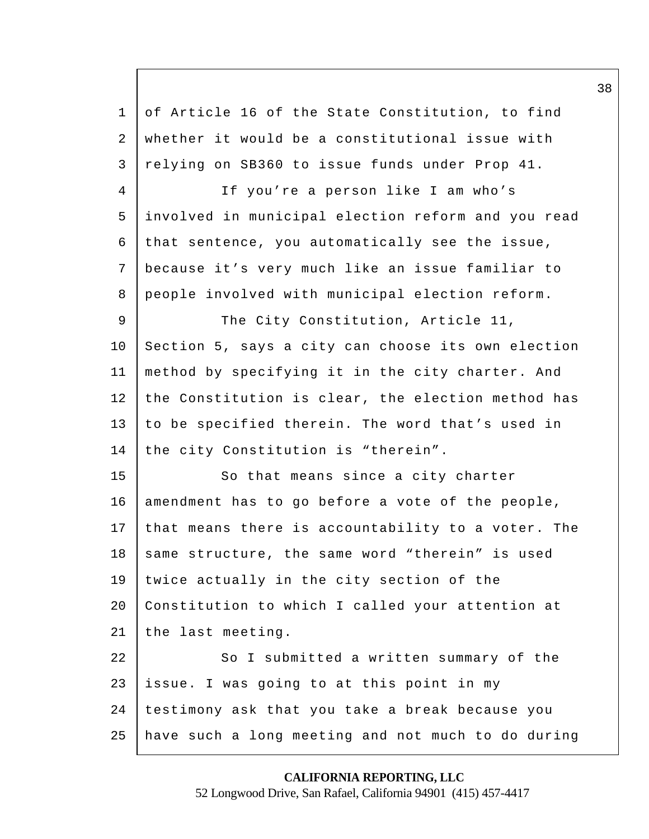of Article 16 of the State Constitution, to find whether it would be a constitutional issue with relying on SB360 to issue funds under Prop 41. If you're a person like I am who's involved in municipal election reform and you read that sentence, you automatically see the issue, because it's very much like an issue familiar to 8 people involved with municipal election reform. 9 The City Constitution, Article 11, 10 Section 5, says a city can choose its own election method by specifying it in the city charter. And 12 the Constitution is clear, the election method has 13 to be specified therein. The word that's used in 14 the city Constitution is "therein". 15 So that means since a city charter amendment has to go before a vote of the people, 17 that means there is accountability to a voter. The same structure, the same word "therein" is used twice actually in the city section of the Constitution to which I called your attention at 21 the last meeting. 22 So I submitted a written summary of the issue. I was going to at this point in my testimony ask that you take a break because you have such a long meeting and not much to do during

> **CALIFORNIA REPORTING, LLC** Longwood Drive, San Rafael, California 94901 (415) 457-4417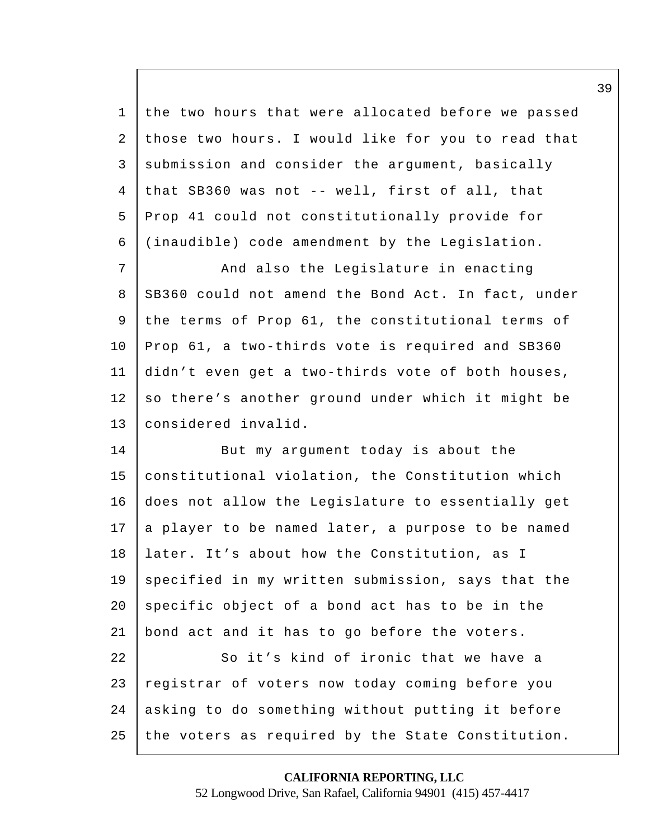1 the two hours that were allocated before we passed 2 those two hours. I would like for you to read that 3 submission and consider the argument, basically 4 | that SB360 was not -- well, first of all, that 5 Prop 41 could not constitutionally provide for 6 (inaudible) code amendment by the Legislation.

7 And also the Legislature in enacting 8 SB360 could not amend the Bond Act. In fact, under 9 the terms of Prop 61, the constitutional terms of 10 Prop 61, a two-thirds vote is required and SB360 11 didn't even get a two-thirds vote of both houses,  $12$  so there's another ground under which it might be 13 considered invalid.

14 But my argument today is about the 15 constitutional violation, the Constitution which 16 does not allow the Legislature to essentially get  $17$  a player to be named later, a purpose to be named 18 | later. It's about how the Constitution, as I 19 specified in my written submission, says that the 20 specific object of a bond act has to be in the 21 bond act and it has to go before the voters. 22 So it's kind of ironic that we have a 23 registrar of voters now today coming before you 24 asking to do something without putting it before 25 the voters as required by the State Constitution.

> **CALIFORNIA REPORTING, LLC** 52 Longwood Drive, San Rafael, California 94901 (415) 457-4417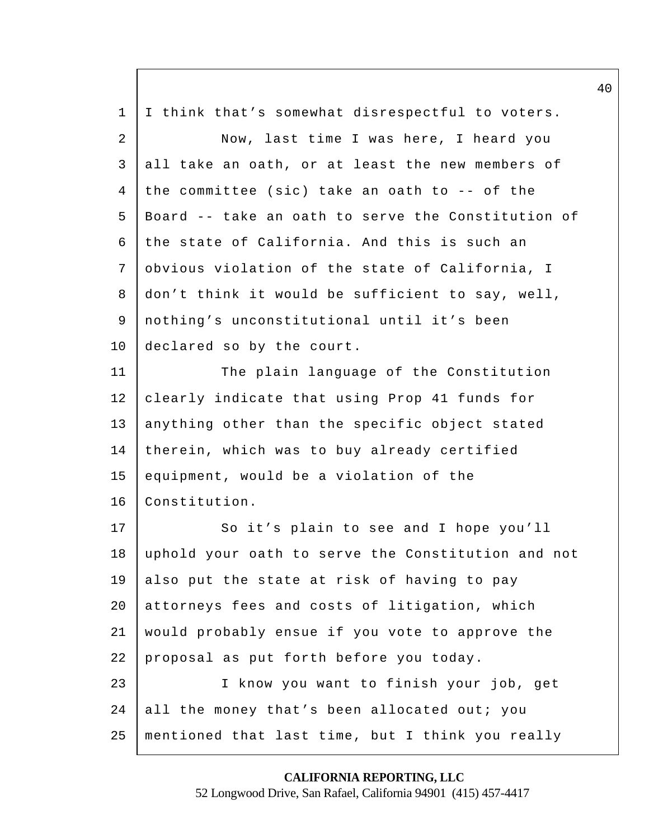| $\mathbf 1$    | I think that's somewhat disrespectful to voters.   |  |  |
|----------------|----------------------------------------------------|--|--|
| 2              | Now, last time I was here, I heard you             |  |  |
| 3              | all take an oath, or at least the new members of   |  |  |
| $\overline{4}$ | the committee (sic) take an oath to $-$ - of the   |  |  |
| 5              | Board -- take an oath to serve the Constitution of |  |  |
| 6              | the state of California. And this is such an       |  |  |
| 7              | obvious violation of the state of California, I    |  |  |
| 8              | don't think it would be sufficient to say, well,   |  |  |
| 9              | nothing's unconstitutional until it's been         |  |  |
| 10             | declared so by the court.                          |  |  |
| 11             | The plain language of the Constitution             |  |  |
| 12             | clearly indicate that using Prop 41 funds for      |  |  |
| 13             | anything other than the specific object stated     |  |  |
| 14             | therein, which was to buy already certified        |  |  |
| 15             | equipment, would be a violation of the             |  |  |
| 16             | Constitution.                                      |  |  |
| 17             | So it's plain to see and I hope you'll             |  |  |
| 18             | uphold your oath to serve the Constitution and not |  |  |
| 19             | also put the state at risk of having to pay        |  |  |
| 20             | attorneys fees and costs of litigation, which      |  |  |
| 21             | would probably ensue if you vote to approve the    |  |  |
| 22             | proposal as put forth before you today.            |  |  |
| 23             | I know you want to finish your job, get            |  |  |
| 24             | all the money that's been allocated out; you       |  |  |
| 25             | mentioned that last time, but I think you really   |  |  |

**CALIFORNIA REPORTING, LLC**

Longwood Drive, San Rafael, California 94901 (415) 457-4417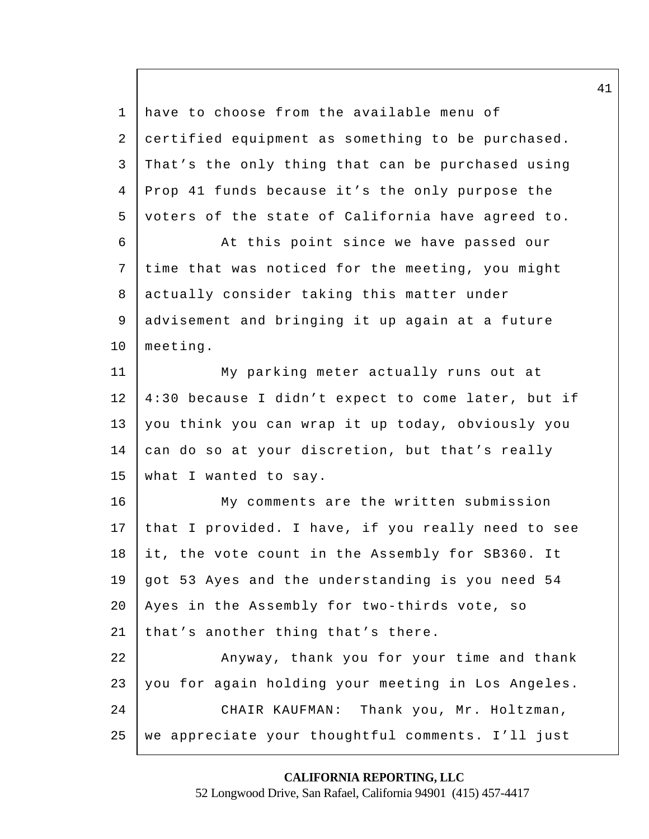have to choose from the available menu of 2 certified equipment as something to be purchased. That's the only thing that can be purchased using Prop 41 funds because it's the only purpose the 5 voters of the state of California have agreed to. 6 At this point since we have passed our time that was noticed for the meeting, you might 8 actually consider taking this matter under advisement and bringing it up again at a future meeting. My parking meter actually runs out at 12  $|4:30$  because I didn't expect to come later, but if you think you can wrap it up today, obviously you 14 can do so at your discretion, but that's really what I wanted to say. 16 My comments are the written submission that I provided. I have, if you really need to see it, the vote count in the Assembly for SB360. It 19 got 53 Ayes and the understanding is you need 20 Ayes in the Assembly for two-thirds vote, so 21 that's another thing that's there. 22 Anyway, thank you for your time and thank you for again holding your meeting in Los Angeles. CHAIR KAUFMAN: Thank you, Mr. Holtzman, we appreciate your thoughtful comments. I'll just

#### **CALIFORNIA REPORTING, LLC**

Longwood Drive, San Rafael, California 94901 (415) 457-4417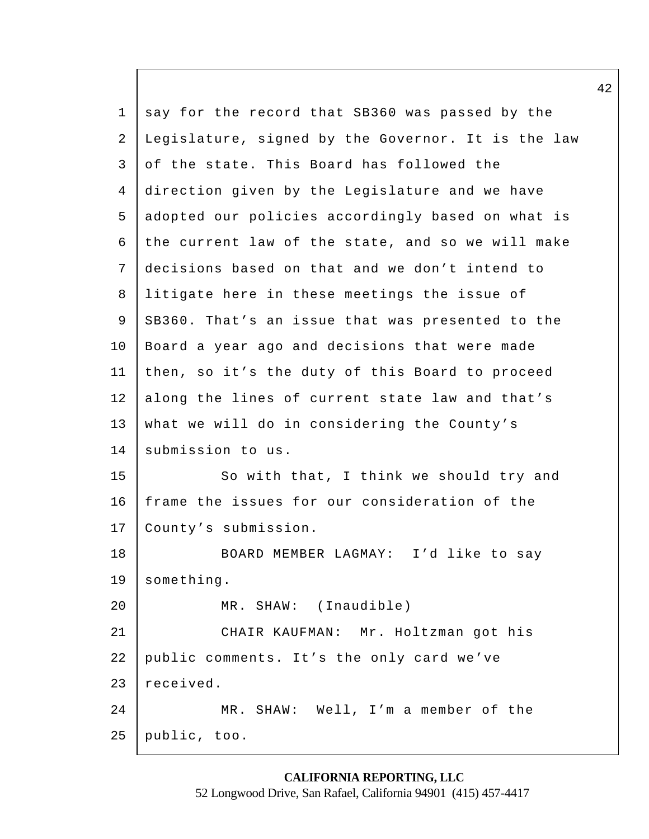say for the record that SB360 was passed by the Legislature, signed by the Governor. It is the law 3 of the state. This Board has followed the direction given by the Legislature and we have 5 adopted our policies accordingly based on what is the current law of the state, and so we will make decisions based on that and we don't intend to litigate here in these meetings the issue of SB360. That's an issue that was presented to the Board a year ago and decisions that were made then, so it's the duty of this Board to proceed 12 along the lines of current state law and that's 13 what we will do in considering the County's 14 submission to us. 15 So with that, I think we should try and frame the issues for our consideration of the 17 | County's submission. BOARD MEMBER LAGMAY: I'd like to say 19 | something. MR. SHAW: (Inaudible) CHAIR KAUFMAN: Mr. Holtzman got his public comments. It's the only card we've received. 24 MR. SHAW: Well, I'm a member of the public, too.

#### **CALIFORNIA REPORTING, LLC**

Longwood Drive, San Rafael, California 94901 (415) 457-4417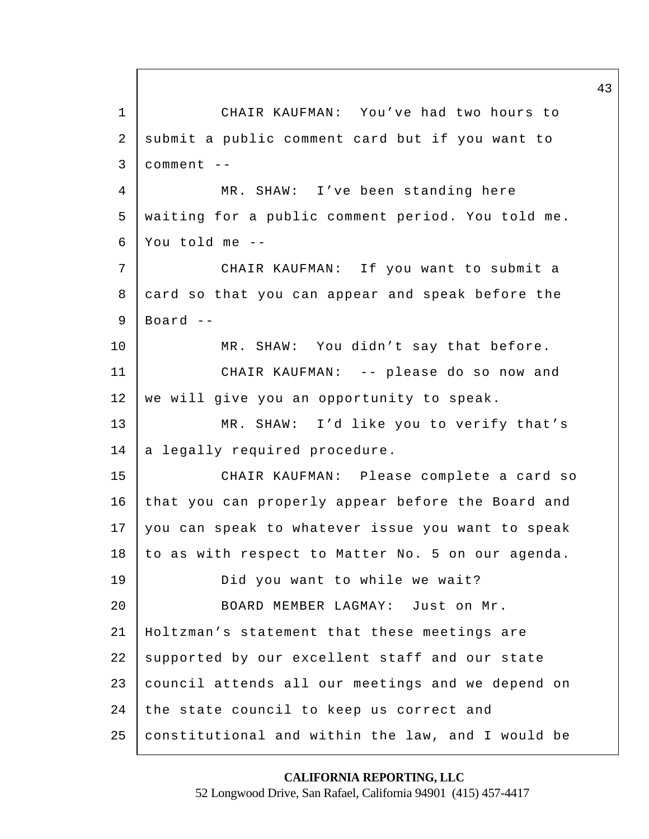CHAIR KAUFMAN: You've had two hours to 2 submit a public comment card but if you want to comment  $-$  MR. SHAW: I've been standing here waiting for a public comment period. You told me. You told me -- CHAIR KAUFMAN: If you want to submit a 8 card so that you can appear and speak before the Board  $-$ 10 MR. SHAW: You didn't say that before. CHAIR KAUFMAN: -- please do so now and we will give you an opportunity to speak. MR. SHAW: I'd like you to verify that's 14 a legally required procedure. CHAIR KAUFMAN: Please complete a card so 16 that you can properly appear before the Board and you can speak to whatever issue you want to speak 18 to as with respect to Matter No. 5 on our agenda. 19 Did you want to while we wait? BOARD MEMBER LAGMAY: Just on Mr. Holtzman's statement that these meetings are 22 supported by our excellent staff and our state council attends all our meetings and we depend on 24 the state council to keep us correct and constitutional and within the law, and I would be

**CALIFORNIA REPORTING, LLC**

Longwood Drive, San Rafael, California 94901 (415) 457-4417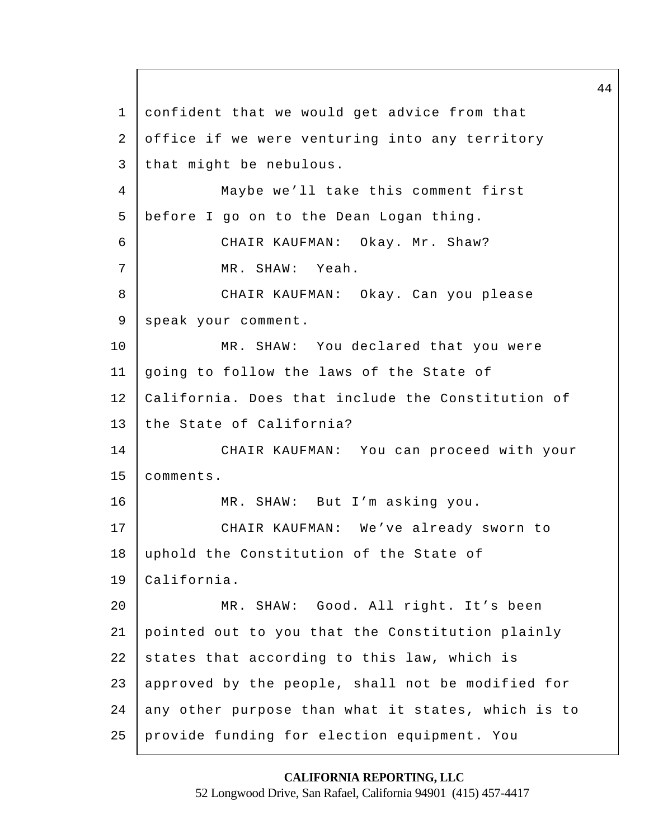confident that we would get advice from that 2 office if we were venturing into any territory that might be nebulous. Maybe we'll take this comment first before I go on to the Dean Logan thing. CHAIR KAUFMAN: Okay. Mr. Shaw? MR. SHAW: Yeah. 8 | CHAIR KAUFMAN: Okay. Can you please 9 speak your comment. MR. SHAW: You declared that you were going to follow the laws of the State of California. Does that include the Constitution of 13 the State of California? CHAIR KAUFMAN: You can proceed with your comments. MR. SHAW: But I'm asking you. CHAIR KAUFMAN: We've already sworn to 18 uphold the Constitution of the State of California. MR. SHAW: Good. All right. It's been pointed out to you that the Constitution plainly states that according to this law, which is approved by the people, shall not be modified for any other purpose than what it states, which is to provide funding for election equipment. You

**CALIFORNIA REPORTING, LLC**

Longwood Drive, San Rafael, California 94901 (415) 457-4417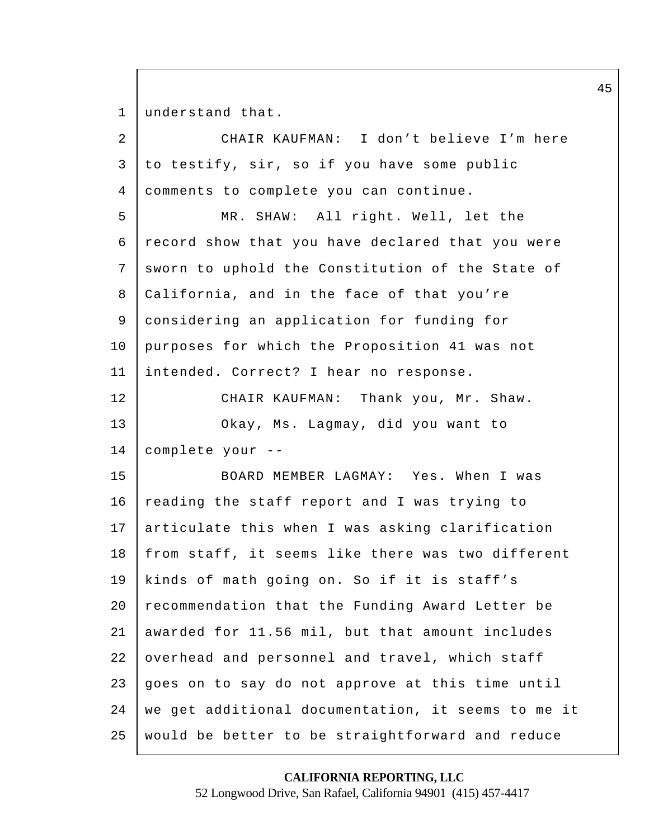1 understand that.

| $\overline{2}$ | CHAIR KAUFMAN: I don't believe I'm here            |  |  |
|----------------|----------------------------------------------------|--|--|
| 3              | to testify, sir, so if you have some public        |  |  |
| 4              | comments to complete you can continue.             |  |  |
| 5              | MR. SHAW: All right. Well, let the                 |  |  |
| 6              | record show that you have declared that you were   |  |  |
| 7              | sworn to uphold the Constitution of the State of   |  |  |
| 8              | California, and in the face of that you're         |  |  |
| 9              | considering an application for funding for         |  |  |
| 10             | purposes for which the Proposition 41 was not      |  |  |
| 11             | intended. Correct? I hear no response.             |  |  |
| 12             | CHAIR KAUFMAN: Thank you, Mr. Shaw.                |  |  |
| 13             | Okay, Ms. Lagmay, did you want to                  |  |  |
| 14             | complete your --                                   |  |  |
| 15             | BOARD MEMBER LAGMAY: Yes. When I was               |  |  |
| 16             | reading the staff report and I was trying to       |  |  |
| 17             | articulate this when I was asking clarification    |  |  |
| 18             | from staff, it seems like there was two different  |  |  |
| 19             | kinds of math going on. So if it is staff's        |  |  |
| 20             | recommendation that the Funding Award Letter be    |  |  |
| 21             | awarded for 11.56 mil, but that amount includes    |  |  |
| 22             | overhead and personnel and travel, which staff     |  |  |
| 23             | goes on to say do not approve at this time until   |  |  |
| 24             | we get additional documentation, it seems to me it |  |  |
| 25             | would be better to be straightforward and reduce   |  |  |

**CALIFORNIA REPORTING, LLC** Longwood Drive, San Rafael, California 94901 (415) 457-4417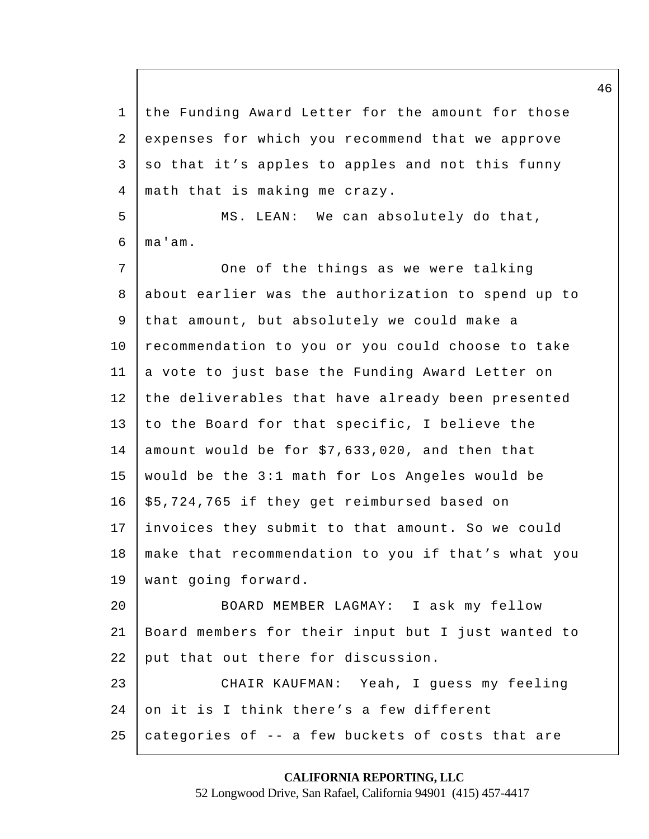1 the Funding Award Letter for the amount for those 2 expenses for which you recommend that we approve  $3 \mid$  so that it's apples to apples and not this funny 4 | math that is making me crazy.

5 MS. LEAN: We can absolutely do that,  $6 \text{ km}$ am.

7 One of the things as we were talking 8 about earlier was the authorization to spend up to 9 that amount, but absolutely we could make a 10 recommendation to you or you could choose to take  $11$  a vote to just base the Funding Award Letter on 12 the deliverables that have already been presented 13 to the Board for that specific, I believe the 14 amount would be for \$7,633,020, and then that 15 would be the 3:1 math for Los Angeles would be  $16 \mid $5,724,765$  if they get reimbursed based on 17 invoices they submit to that amount. So we could 18 make that recommendation to you if that's what you 19 want going forward. 20 BOARD MEMBER LAGMAY: I ask my fellow 21 Board members for their input but I just wanted to 22 put that out there for discussion.

23 CHAIR KAUFMAN: Yeah, I guess my feeling 24 on it is I think there's a few different 25 categories of -- a few buckets of costs that are

**CALIFORNIA REPORTING, LLC**

52 Longwood Drive, San Rafael, California 94901 (415) 457-4417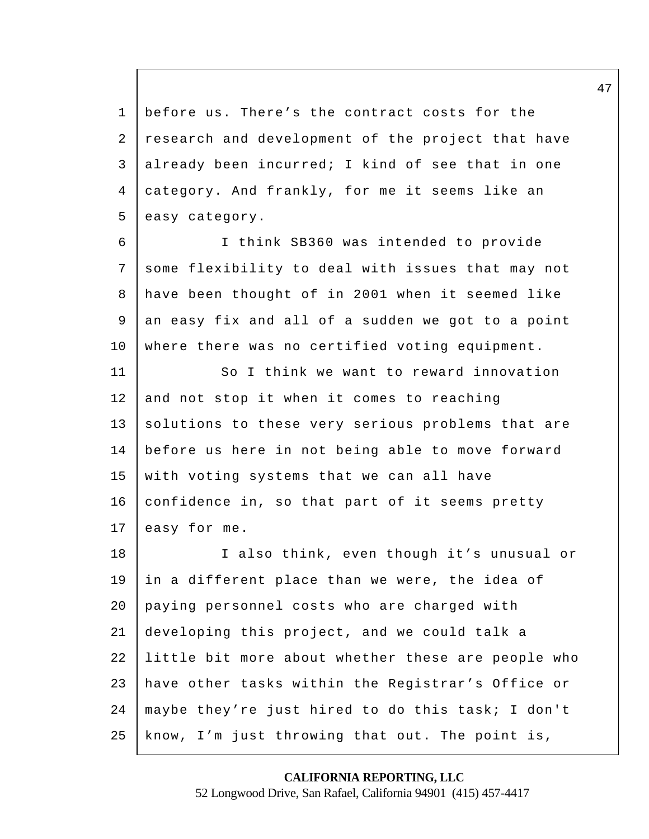before us. There's the contract costs for the 2 research and development of the project that have already been incurred; I kind of see that in one category. And frankly, for me it seems like an easy category.

 I think SB360 was intended to provide 7 some flexibility to deal with issues that may not have been thought of in 2001 when it seemed like an easy fix and all of a sudden we got to a point 10 where there was no certified voting equipment.

11 So I think we want to reward innovation 12 and not stop it when it comes to reaching 13 solutions to these very serious problems that are before us here in not being able to move forward 15 with voting systems that we can all have 16 confidence in, so that part of it seems pretty easy for me.

18 I also think, even though it's unusual or in a different place than we were, the idea of paying personnel costs who are charged with developing this project, and we could talk a little bit more about whether these are people who have other tasks within the Registrar's Office or maybe they're just hired to do this task; I don't know, I'm just throwing that out. The point is,

> **CALIFORNIA REPORTING, LLC** Longwood Drive, San Rafael, California 94901 (415) 457-4417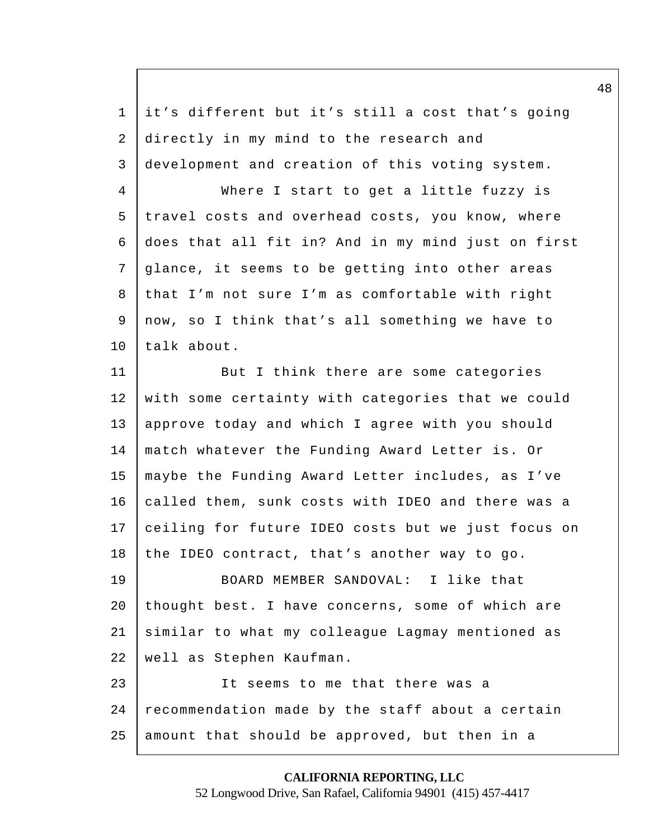it's different but it's still a cost that's going 2 directly in my mind to the research and development and creation of this voting system. Where I start to get a little fuzzy is 5 travel costs and overhead costs, you know, where does that all fit in? And in my mind just on first glance, it seems to be getting into other areas that I'm not sure I'm as comfortable with right 9 now, so I think that's all something we have to talk about. 11 But I think there are some categories

 with some certainty with categories that we could approve today and which I agree with you should match whatever the Funding Award Letter is. Or maybe the Funding Award Letter includes, as I've 16 called them, sunk costs with IDEO and there was a ceiling for future IDEO costs but we just focus on 18 the IDEO contract, that's another way to go.

 BOARD MEMBER SANDOVAL: I like that 20 thought best. I have concerns, some of which are similar to what my colleague Lagmay mentioned as 22 | well as Stephen Kaufman. It seems to me that there was a

24 recommendation made by the staff about a certain amount that should be approved, but then in a

# **CALIFORNIA REPORTING, LLC** Longwood Drive, San Rafael, California 94901 (415) 457-4417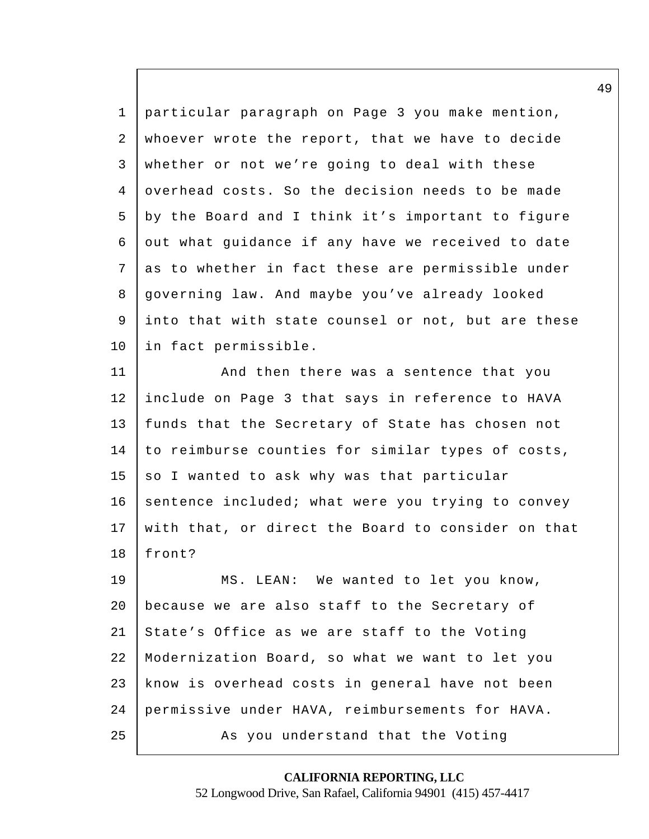particular paragraph on Page 3 you make mention, 2 whoever wrote the report, that we have to decide whether or not we're going to deal with these 4 overhead costs. So the decision needs to be made by the Board and I think it's important to figure out what guidance if any have we received to date 7 as to whether in fact these are permissible under governing law. And maybe you've already looked into that with state counsel or not, but are these in fact permissible.

11 | And then there was a sentence that you include on Page 3 that says in reference to HAVA funds that the Secretary of State has chosen not 14 to reimburse counties for similar types of costs, so I wanted to ask why was that particular sentence included; what were you trying to convey 17 with that, or direct the Board to consider on that front?

 MS. LEAN: We wanted to let you know, because we are also staff to the Secretary of State's Office as we are staff to the Voting Modernization Board, so what we want to let you know is overhead costs in general have not been permissive under HAVA, reimbursements for HAVA. 25 As you understand that the Voting

> **CALIFORNIA REPORTING, LLC** Longwood Drive, San Rafael, California 94901 (415) 457-4417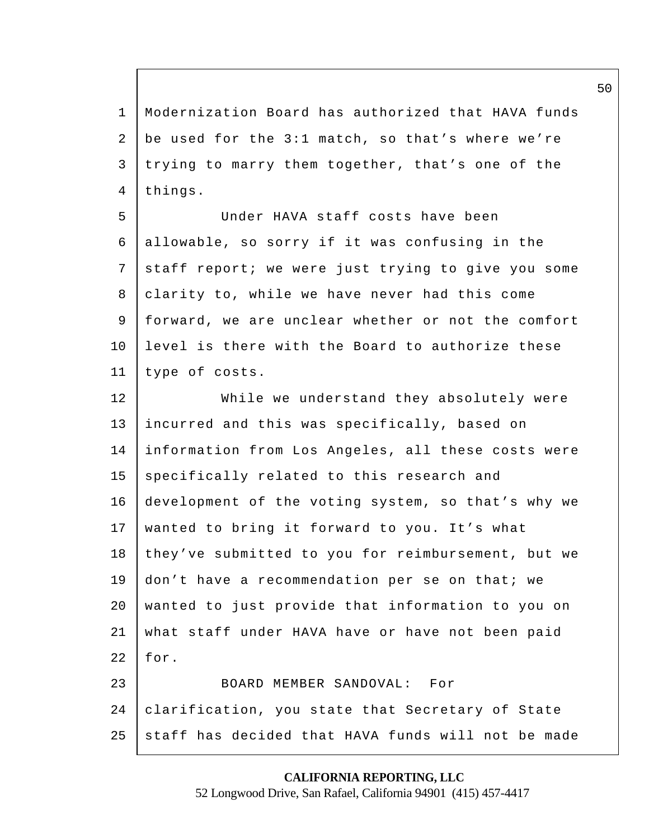Modernization Board has authorized that HAVA funds 2 be used for the 3:1 match, so that's where we're trying to marry them together, that's one of the things.

 Under HAVA staff costs have been allowable, so sorry if it was confusing in the 7 staff report; we were just trying to give you some 8 clarity to, while we have never had this come forward, we are unclear whether or not the comfort level is there with the Board to authorize these 11 type of costs.

 While we understand they absolutely were incurred and this was specifically, based on information from Los Angeles, all these costs were 15 specifically related to this research and development of the voting system, so that's why we wanted to bring it forward to you. It's what 18 they've submitted to you for reimbursement, but we don't have a recommendation per se on that; we wanted to just provide that information to you on what staff under HAVA have or have not been paid for. BOARD MEMBER SANDOVAL: For 24 clarification, you state that Secretary of State 25 staff has decided that HAVA funds will not be made

# **CALIFORNIA REPORTING, LLC**

Longwood Drive, San Rafael, California 94901 (415) 457-4417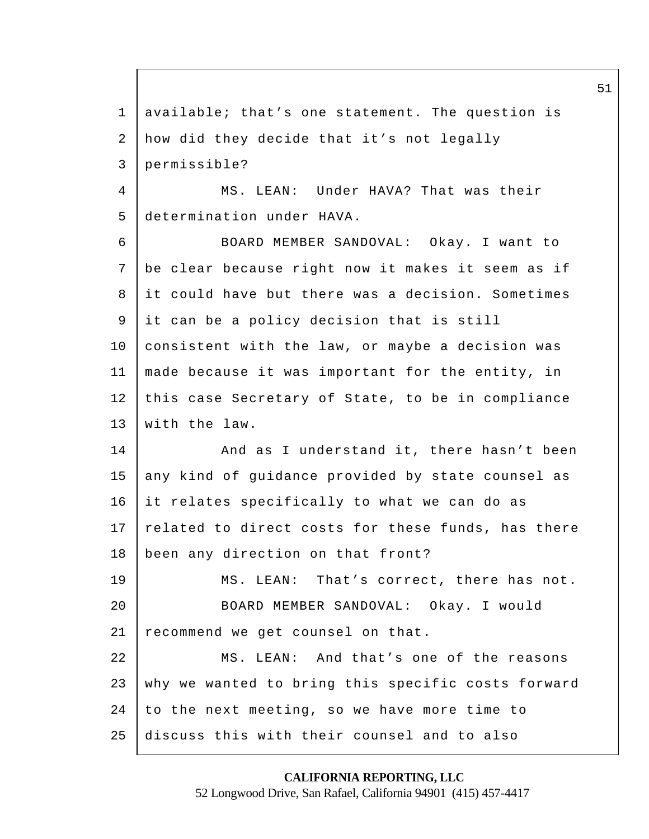available; that's one statement. The question is 2 how did they decide that it's not legally permissible? MS. LEAN: Under HAVA? That was their determination under HAVA. BOARD MEMBER SANDOVAL: Okay. I want to be clear because right now it makes it seem as if it could have but there was a decision. Sometimes 9 it can be a policy decision that is still 10 consistent with the law, or maybe a decision was 11 | made because it was important for the entity, in 12 this case Secretary of State, to be in compliance with the law. 14 And as I understand it, there hasn't been 15 any kind of guidance provided by state counsel as it relates specifically to what we can do as related to direct costs for these funds, has there been any direction on that front? 19 MS. LEAN: That's correct, there has not. BOARD MEMBER SANDOVAL: Okay. I would 21 recommend we get counsel on that. MS. LEAN: And that's one of the reasons why we wanted to bring this specific costs forward to the next meeting, so we have more time to discuss this with their counsel and to also

**CALIFORNIA REPORTING, LLC**

Longwood Drive, San Rafael, California 94901 (415) 457-4417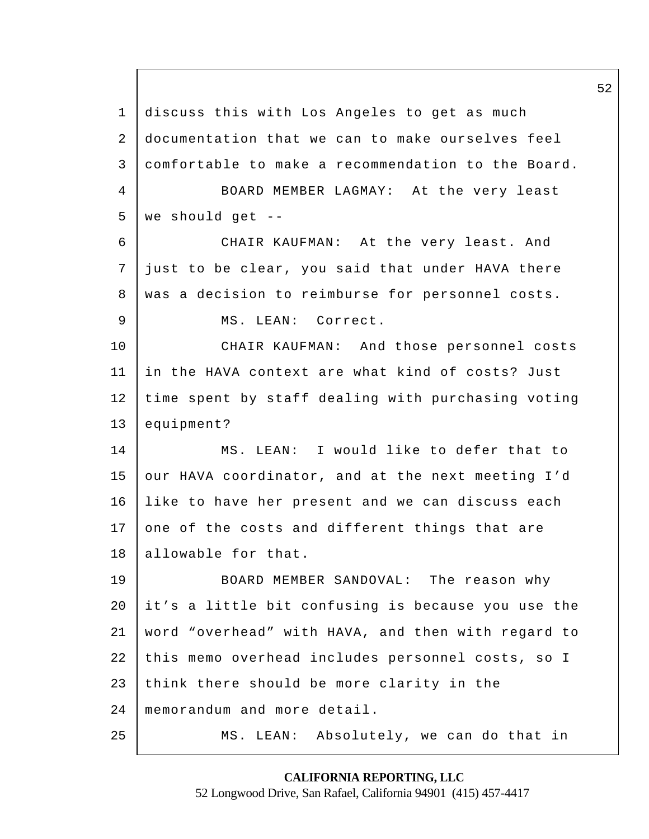discuss this with Los Angeles to get as much documentation that we can to make ourselves feel comfortable to make a recommendation to the Board. BOARD MEMBER LAGMAY: At the very least  $5 \mid$  we should get -- CHAIR KAUFMAN: At the very least. And  $\vert$  just to be clear, you said that under HAVA there 8 | was a decision to reimburse for personnel costs. 9 MS. LEAN: Correct. CHAIR KAUFMAN: And those personnel costs in the HAVA context are what kind of costs? Just 12 time spent by staff dealing with purchasing voting equipment? MS. LEAN: I would like to defer that to our HAVA coordinator, and at the next meeting I'd like to have her present and we can discuss each one of the costs and different things that are 18 allowable for that. BOARD MEMBER SANDOVAL: The reason why it's a little bit confusing is because you use the word "overhead" with HAVA, and then with regard to 22 this memo overhead includes personnel costs, so I think there should be more clarity in the 24 memorandum and more detail. MS. LEAN: Absolutely, we can do that in

# **CALIFORNIA REPORTING, LLC** Longwood Drive, San Rafael, California 94901 (415) 457-4417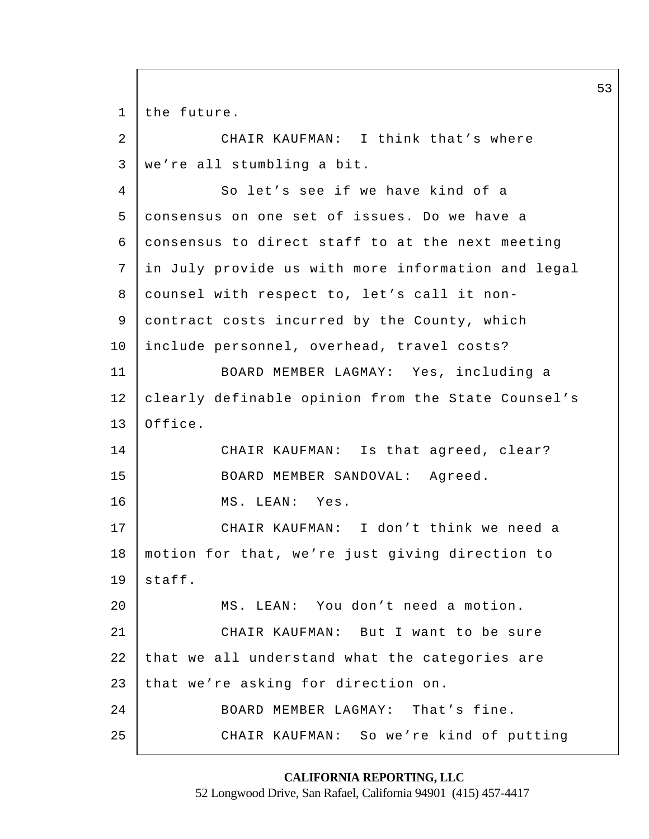1 the future.

| 2  | CHAIR KAUFMAN: I think that's where                |  |  |
|----|----------------------------------------------------|--|--|
| 3  | we're all stumbling a bit.                         |  |  |
| 4  | So let's see if we have kind of a                  |  |  |
| 5  | consensus on one set of issues. Do we have a       |  |  |
| 6  | consensus to direct staff to at the next meeting   |  |  |
| 7  | in July provide us with more information and legal |  |  |
| 8  | counsel with respect to, let's call it non-        |  |  |
| 9  | contract costs incurred by the County, which       |  |  |
| 10 | include personnel, overhead, travel costs?         |  |  |
| 11 | BOARD MEMBER LAGMAY: Yes, including a              |  |  |
| 12 | clearly definable opinion from the State Counsel's |  |  |
| 13 | Office.                                            |  |  |
| 14 | CHAIR KAUFMAN: Is that agreed, clear?              |  |  |
| 15 | BOARD MEMBER SANDOVAL: Agreed.                     |  |  |
| 16 | MS. LEAN: Yes.                                     |  |  |
| 17 | CHAIR KAUFMAN: I don't think we need a             |  |  |
| 18 | motion for that, we're just giving direction to    |  |  |
| 19 | staff.                                             |  |  |
| 20 | MS. LEAN: You don't need a motion.                 |  |  |
| 21 | CHAIR KAUFMAN: But I want to be sure               |  |  |
| 22 | that we all understand what the categories are     |  |  |
| 23 | that we're asking for direction on.                |  |  |
| 24 | BOARD MEMBER LAGMAY: That's fine.                  |  |  |
| 25 | CHAIR KAUFMAN: So we're kind of putting            |  |  |

**CALIFORNIA REPORTING, LLC**

Longwood Drive, San Rafael, California 94901 (415) 457-4417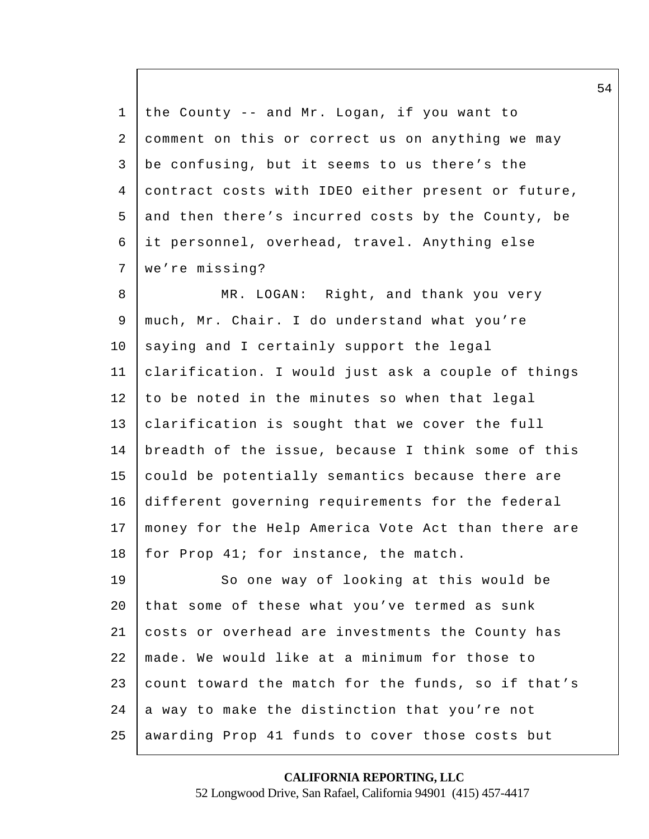the County -- and Mr. Logan, if you want to 2 comment on this or correct us on anything we may be confusing, but it seems to us there's the contract costs with IDEO either present or future, 5 and then there's incurred costs by the County, be it personnel, overhead, travel. Anything else we're missing?

8 MR. LOGAN: Right, and thank you very 9 | much, Mr. Chair. I do understand what you're saying and I certainly support the legal clarification. I would just ask a couple of things to be noted in the minutes so when that legal 13 clarification is sought that we cover the full breadth of the issue, because I think some of this could be potentially semantics because there are different governing requirements for the federal money for the Help America Vote Act than there are 18 | for Prop 41; for instance, the match.

19 So one way of looking at this would be 20 that some of these what you've termed as sunk costs or overhead are investments the County has made. We would like at a minimum for those to count toward the match for the funds, so if that's a way to make the distinction that you're not awarding Prop 41 funds to cover those costs but

> **CALIFORNIA REPORTING, LLC** Longwood Drive, San Rafael, California 94901 (415) 457-4417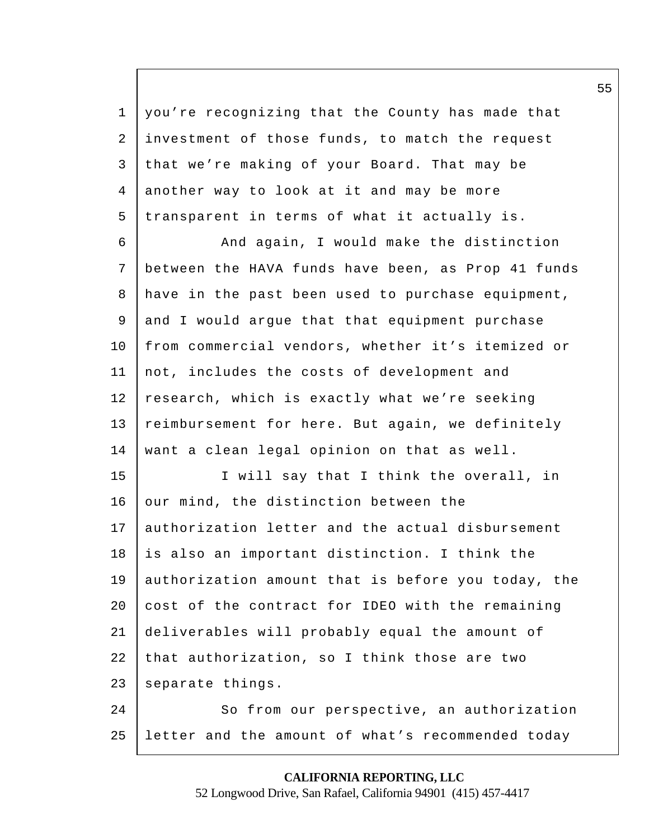1 you're recognizing that the County has made that 2 investment of those funds, to match the request 3 that we're making of your Board. That may be 4 another way to look at it and may be more 5 transparent in terms of what it actually is.

6 And again, I would make the distinction 7 between the HAVA funds have been, as Prop 41 funds 8 have in the past been used to purchase equipment,  $9$  and I would argue that that equipment purchase 10 from commercial vendors, whether it's itemized or 11 not, includes the costs of development and 12 research, which is exactly what we're seeking 13 reimbursement for here. But again, we definitely 14 want a clean legal opinion on that as well.

15 I will say that I think the overall, in 16 our mind, the distinction between the 17 authorization letter and the actual disbursement 18 is also an important distinction. I think the 19 authorization amount that is before you today, the 20 cost of the contract for IDEO with the remaining 21 deliverables will probably equal the amount of 22 that authorization, so I think those are two 23 separate things. 24 So from our perspective, an authorization

25 letter and the amount of what's recommended today

**CALIFORNIA REPORTING, LLC**

52 Longwood Drive, San Rafael, California 94901 (415) 457-4417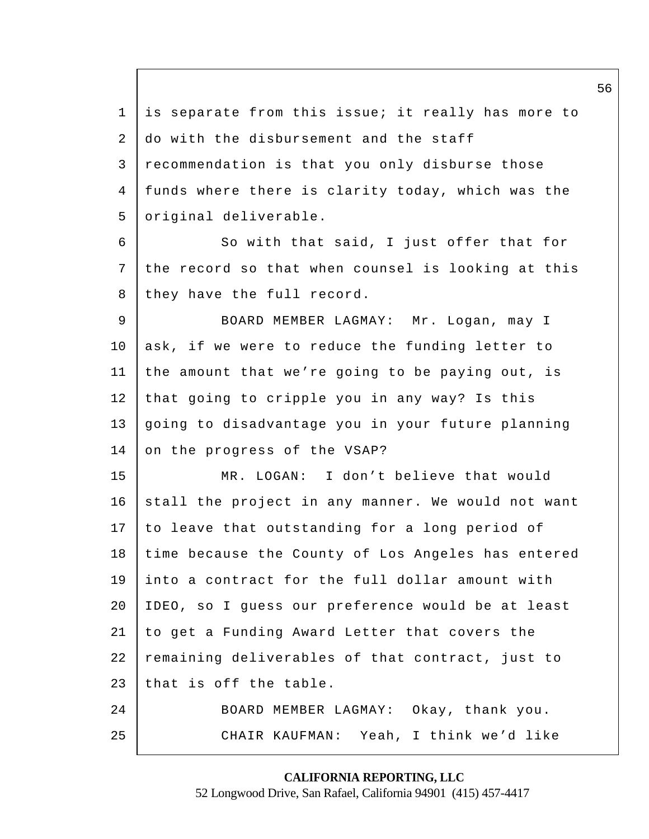1 is separate from this issue; it really has more to 2 do with the disbursement and the staff 3 recommendation is that you only disburse those 4 funds where there is clarity today, which was the 5 original deliverable.

6 So with that said, I just offer that for  $7$  the record so that when counsel is looking at this 8 they have the full record.

9 BOARD MEMBER LAGMAY: Mr. Logan, may I 10 ask, if we were to reduce the funding letter to 11 the amount that we're going to be paying out, is 12 that going to cripple you in any way? Is this 13 going to disadvantage you in your future planning 14 on the progress of the VSAP?

 MR. LOGAN: I don't believe that would 16 stall the project in any manner. We would not want to leave that outstanding for a long period of 18 time because the County of Los Angeles has entered into a contract for the full dollar amount with IDEO, so I guess our preference would be at least to get a Funding Award Letter that covers the 22 remaining deliverables of that contract, just to that is off the table. BOARD MEMBER LAGMAY: Okay, thank you.

25 CHAIR KAUFMAN: Yeah, I think we'd like

**CALIFORNIA REPORTING, LLC**

52 Longwood Drive, San Rafael, California 94901 (415) 457-4417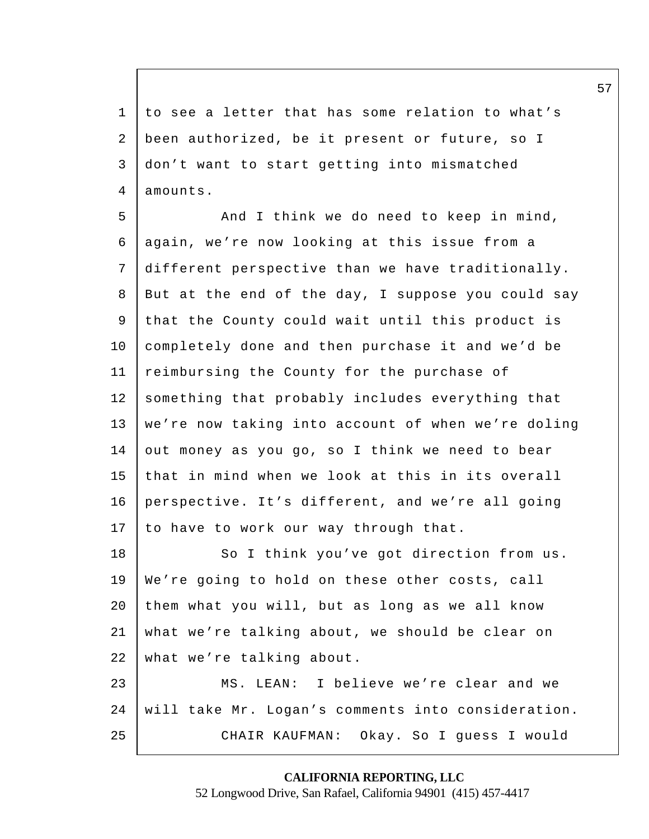to see a letter that has some relation to what's been authorized, be it present or future, so I don't want to start getting into mismatched amounts.

 And I think we do need to keep in mind, again, we're now looking at this issue from a different perspective than we have traditionally. But at the end of the day, I suppose you could say 9 that the County could wait until this product is completely done and then purchase it and we'd be 11 reimbursing the County for the purchase of 12 something that probably includes everything that 13 we're now taking into account of when we're doling 14 out money as you go, so I think we need to bear that in mind when we look at this in its overall perspective. It's different, and we're all going 17 to have to work our way through that. 18 So I think you've got direction from us.

19 We're going to hold on these other costs, call them what you will, but as long as we all know what we're talking about, we should be clear on what we're talking about. MS. LEAN: I believe we're clear and we will take Mr. Logan's comments into consideration.

CHAIR KAUFMAN: Okay. So I guess I would

**CALIFORNIA REPORTING, LLC**

Longwood Drive, San Rafael, California 94901 (415) 457-4417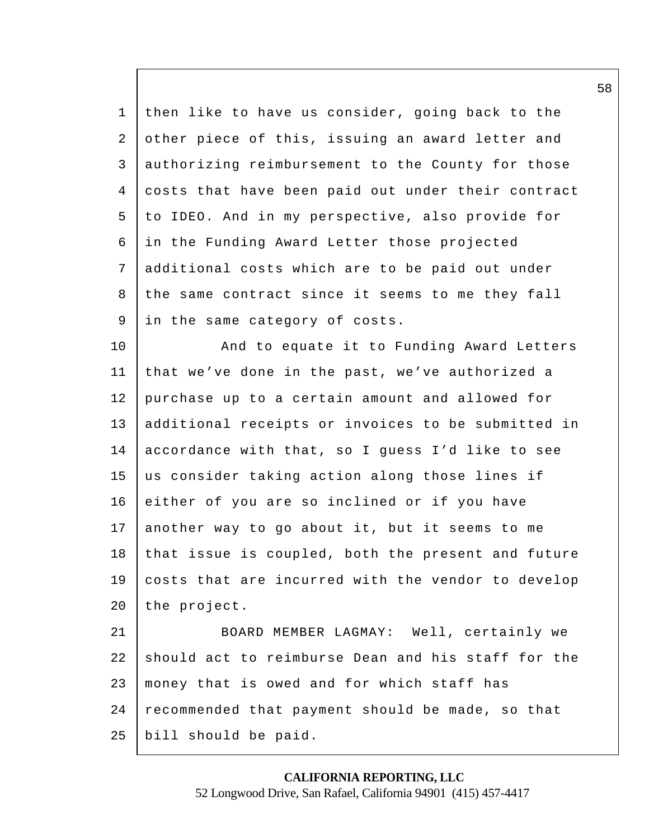1 then like to have us consider, going back to the 2 other piece of this, issuing an award letter and authorizing reimbursement to the County for those costs that have been paid out under their contract to IDEO. And in my perspective, also provide for in the Funding Award Letter those projected additional costs which are to be paid out under the same contract since it seems to me they fall 9 in the same category of costs.

10 | And to equate it to Funding Award Letters that we've done in the past, we've authorized a purchase up to a certain amount and allowed for additional receipts or invoices to be submitted in accordance with that, so I guess I'd like to see us consider taking action along those lines if either of you are so inclined or if you have another way to go about it, but it seems to me that issue is coupled, both the present and future costs that are incurred with the vendor to develop the project. BOARD MEMBER LAGMAY: Well, certainly we

22 should act to reimburse Dean and his staff for the money that is owed and for which staff has 24 recommended that payment should be made, so that bill should be paid.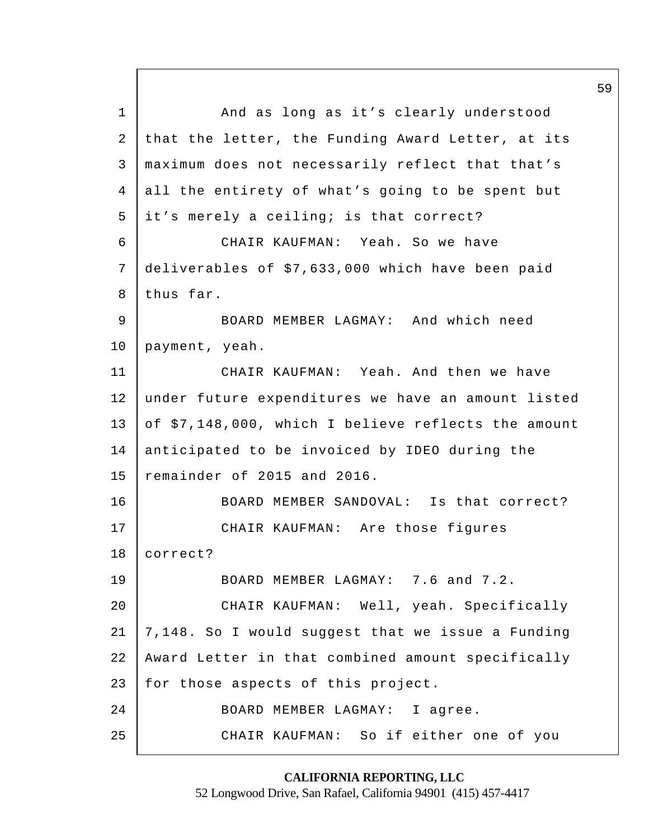1 | And as long as it's clearly understood 2 that the letter, the Funding Award Letter, at its maximum does not necessarily reflect that that's all the entirety of what's going to be spent but it's merely a ceiling; is that correct? CHAIR KAUFMAN: Yeah. So we have deliverables of \$7,633,000 which have been paid 8 thus far. BOARD MEMBER LAGMAY: And which need 10 | payment, yeah. CHAIR KAUFMAN: Yeah. And then we have under future expenditures we have an amount listed 13 of  $$7,148,000$ , which I believe reflects the amount anticipated to be invoiced by IDEO during the remainder of 2015 and 2016. 16 BOARD MEMBER SANDOVAL: Is that correct? CHAIR KAUFMAN: Are those figures correct? 19 BOARD MEMBER LAGMAY: 7.6 and 7.2. CHAIR KAUFMAN: Well, yeah. Specifically  $21 \mid 7,148$ . So I would suggest that we issue a Funding Award Letter in that combined amount specifically 23 | for those aspects of this project. 24 BOARD MEMBER LAGMAY: I agree. CHAIR KAUFMAN: So if either one of you

> **CALIFORNIA REPORTING, LLC** Longwood Drive, San Rafael, California 94901 (415) 457-4417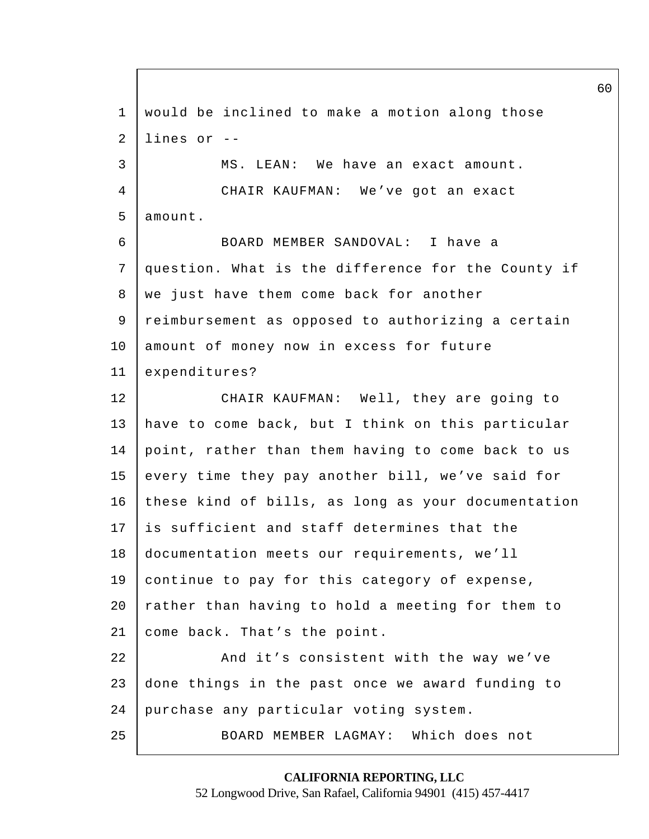would be inclined to make a motion along those lines or -- MS. LEAN: We have an exact amount. CHAIR KAUFMAN: We've got an exact amount. BOARD MEMBER SANDOVAL: I have a question. What is the difference for the County if 8 | we just have them come back for another 9 reimbursement as opposed to authorizing a certain 10 amount of money now in excess for future expenditures? CHAIR KAUFMAN: Well, they are going to have to come back, but I think on this particular point, rather than them having to come back to us 15 every time they pay another bill, we've said for these kind of bills, as long as your documentation is sufficient and staff determines that the documentation meets our requirements, we'll 19 continue to pay for this category of expense, 20 rather than having to hold a meeting for them to 21 come back. That's the point. 22 And it's consistent with the way we've done things in the past once we award funding to 24 purchase any particular voting system. BOARD MEMBER LAGMAY: Which does not

> **CALIFORNIA REPORTING, LLC** Longwood Drive, San Rafael, California 94901 (415) 457-4417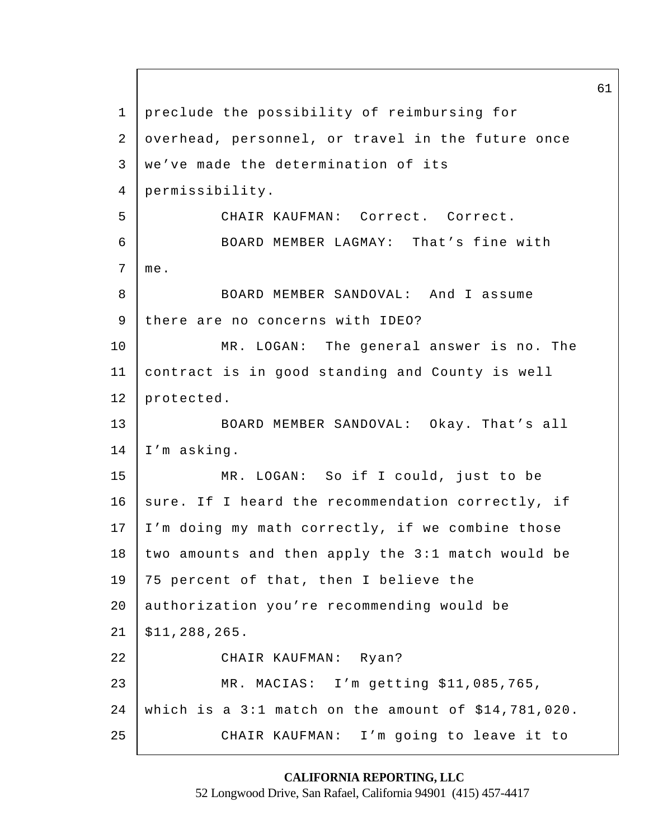preclude the possibility of reimbursing for 2 overhead, personnel, or travel in the future once we've made the determination of its permissibility. CHAIR KAUFMAN: Correct. Correct. BOARD MEMBER LAGMAY: That's fine with me. 8 BOARD MEMBER SANDOVAL: And I assume 9 there are no concerns with IDEO? MR. LOGAN: The general answer is no. The contract is in good standing and County is well 12 protected. BOARD MEMBER SANDOVAL: Okay. That's all I'm asking. MR. LOGAN: So if I could, just to be 16 sure. If I heard the recommendation correctly, if I'm doing my math correctly, if we combine those 18 two amounts and then apply the 3:1 match would be 19 75 percent of that, then I believe the authorization you're recommending would be  $21 \mid 511,288,265.$ 22 CHAIR KAUFMAN: Ryan? MR. MACIAS: I'm getting \$11,085,765, which is a 3:1 match on the amount of \$14,781,020. CHAIR KAUFMAN: I'm going to leave it to

#### **CALIFORNIA REPORTING, LLC**

Longwood Drive, San Rafael, California 94901 (415) 457-4417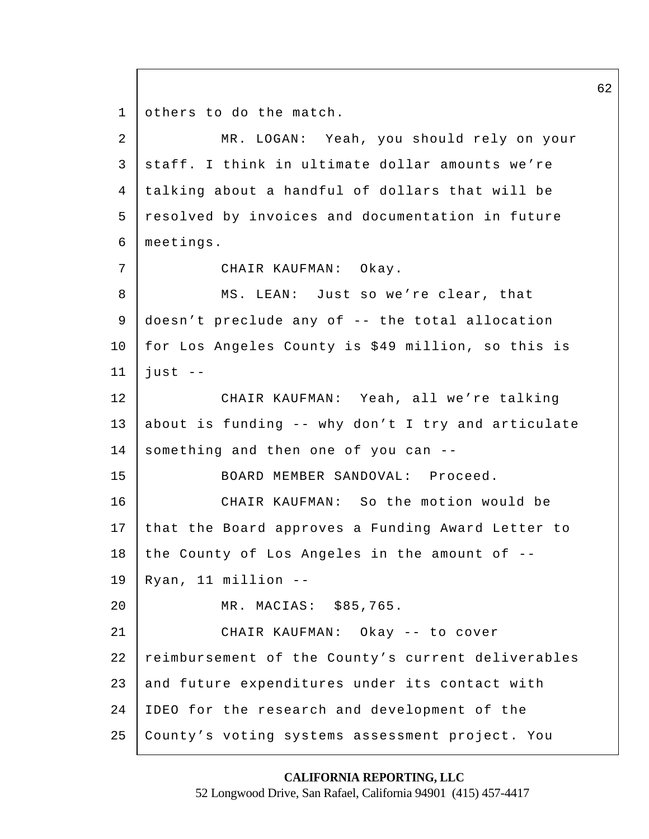1 others to do the match.

 MR. LOGAN: Yeah, you should rely on your 3 staff. I think in ultimate dollar amounts we're talking about a handful of dollars that will be 5 resolved by invoices and documentation in future meetings. 7 CHAIR KAUFMAN: Okay. 8 MS. LEAN: Just so we're clear, that doesn't preclude any of -- the total allocation for Los Angeles County is \$49 million, so this is just  $-$  CHAIR KAUFMAN: Yeah, all we're talking 13 about is funding  $--$  why don't I try and articulate 14 something and then one of you can  $-$  BOARD MEMBER SANDOVAL: Proceed. CHAIR KAUFMAN: So the motion would be 17 that the Board approves a Funding Award Letter to 18 the County of Los Angeles in the amount of  $-$ - Ryan, 11 million -- MR. MACIAS: \$85,765. CHAIR KAUFMAN: Okay -- to cover 22 reimbursement of the County's current deliverables and future expenditures under its contact with IDEO for the research and development of the County's voting systems assessment project. You

**CALIFORNIA REPORTING, LLC**

Longwood Drive, San Rafael, California 94901 (415) 457-4417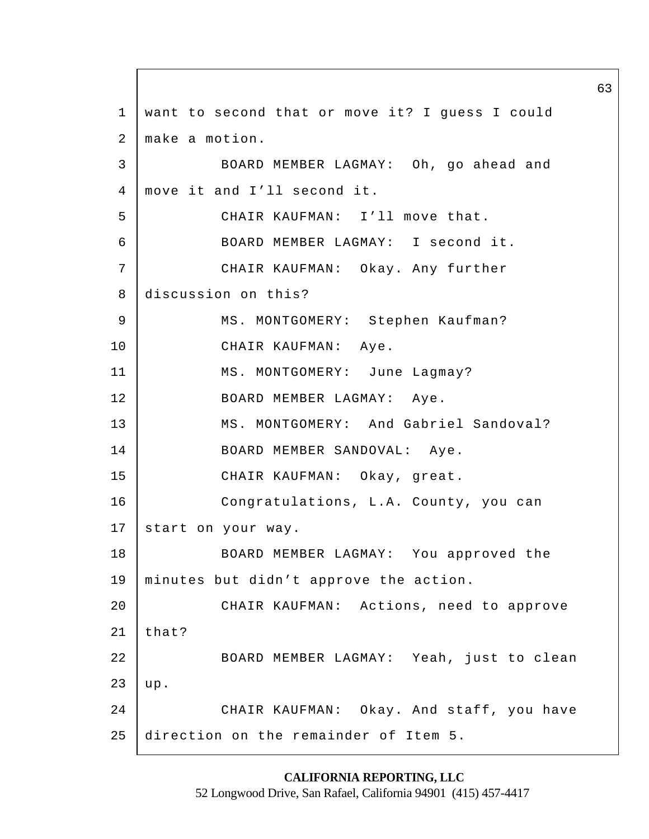want to second that or move it? I guess I could make a motion. BOARD MEMBER LAGMAY: Oh, go ahead and move it and I'll second it. CHAIR KAUFMAN: I'll move that. BOARD MEMBER LAGMAY: I second it. CHAIR KAUFMAN: Okay. Any further discussion on this? 9 | MS. MONTGOMERY: Stephen Kaufman? 10 CHAIR KAUFMAN: Aye. 11 | MS. MONTGOMERY: June Lagmay? 12 BOARD MEMBER LAGMAY: Aye. MS. MONTGOMERY: And Gabriel Sandoval? BOARD MEMBER SANDOVAL: Aye. CHAIR KAUFMAN: Okay, great. Congratulations, L.A. County, you can 17 start on your way. BOARD MEMBER LAGMAY: You approved the minutes but didn't approve the action. CHAIR KAUFMAN: Actions, need to approve that? BOARD MEMBER LAGMAY: Yeah, just to clean up. CHAIR KAUFMAN: Okay. And staff, you have direction on the remainder of Item 5.

**CALIFORNIA REPORTING, LLC**

Longwood Drive, San Rafael, California 94901 (415) 457-4417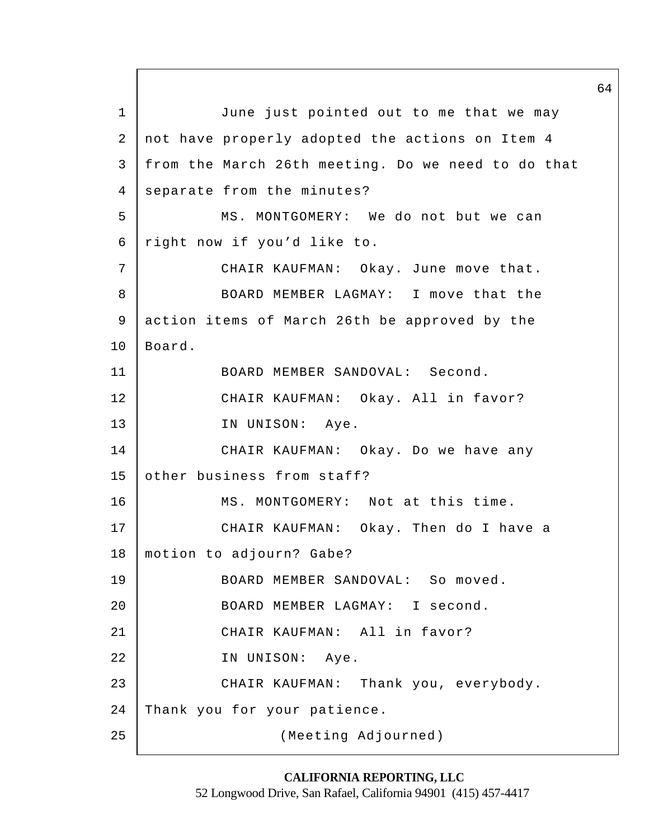1 June just pointed out to me that we may 2 not have properly adopted the actions on Item 4 3 from the March 26th meeting. Do we need to do that 4 separate from the minutes? 5 MS. MONTGOMERY: We do not but we can 6 right now if you'd like to. 7 CHAIR KAUFMAN: Okay. June move that. 8 BOARD MEMBER LAGMAY: I move that the 9 action items of March 26th be approved by the 10 Board. 11 BOARD MEMBER SANDOVAL: Second. 12 CHAIR KAUFMAN: Okay. All in favor? 13 IN UNISON: Aye. 14 CHAIR KAUFMAN: Okay. Do we have any 15 other business from staff? 16 MS. MONTGOMERY: Not at this time. 17 CHAIR KAUFMAN: Okay. Then do I have a 18 motion to adjourn? Gabe? 19 BOARD MEMBER SANDOVAL: So moved. 20 BOARD MEMBER LAGMAY: I second. 21 CHAIR KAUFMAN: All in favor? 22 IN UNISON: Aye. 23 CHAIR KAUFMAN: Thank you, everybody. 24 Thank you for your patience. 25 (Meeting Adjourned)

52 Longwood Drive, San Rafael, California 94901 (415) 457-4417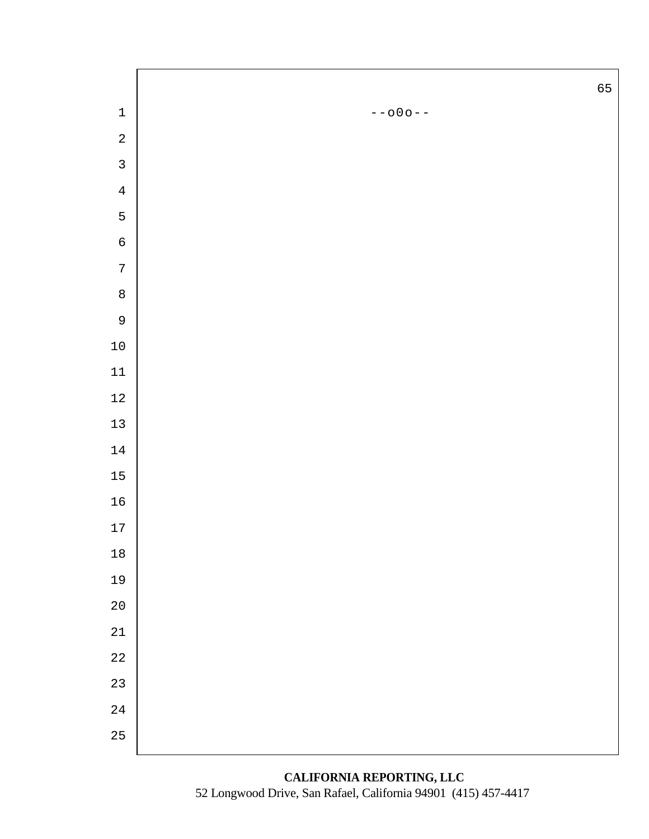|                |           | 65 |
|----------------|-----------|----|
| $\mathbf 1$    | $--000--$ |    |
| $\overline{a}$ |           |    |
| $\overline{3}$ |           |    |
| $\overline{4}$ |           |    |
| $\overline{5}$ |           |    |
| $\mathbf 6$    |           |    |
| $\sqrt{ }$     |           |    |
| $\,8\,$        |           |    |
| $\overline{9}$ |           |    |
| $10$           |           |    |
| $11\,$         |           |    |
| $12\,$         |           |    |
| $13\,$         |           |    |
| $14\,$         |           |    |
| $15\,$         |           |    |
| $16$           |           |    |
| $17\,$         |           |    |
| $18\,$         |           |    |
| 19             |           |    |
| $2\,0$         |           |    |
| $21\,$         |           |    |
| $2\sqrt{2}$    |           |    |
| 23             |           |    |
| 24             |           |    |
| 25             |           |    |
|                |           |    |

**CALIFORNIA REPORTING, LLC** Longwood Drive, San Rafael, California 94901 (415) 457-4417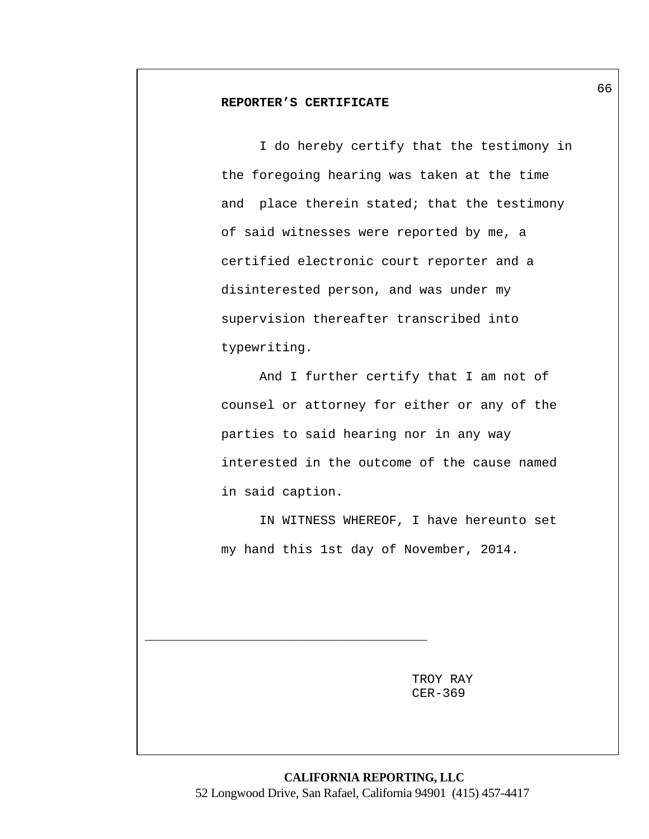#### **REPORTER'S CERTIFICATE**

I do hereby certify that the testimony in the foregoing hearing was taken at the time and place therein stated; that the testimony of said witnesses were reported by me, a certified electronic court reporter and a disinterested person, and was under my supervision thereafter transcribed into typewriting.

And I further certify that I am not of counsel or attorney for either or any of the parties to said hearing nor in any way interested in the outcome of the cause named in said caption.

IN WITNESS WHEREOF, I have hereunto set my hand this 1st day of November, 2014.

> TROY RAY CER-369

\_\_\_\_\_\_\_\_\_\_\_\_\_\_\_\_\_\_\_\_\_\_\_\_\_\_\_\_\_\_\_\_\_\_\_\_\_